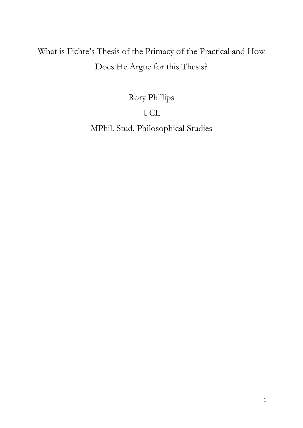# What is Fichte's Thesis of the Primacy of the Practical and How Does He Argue for this Thesis?

Rory Phillips

# UCL

MPhil. Stud. Philosophical Studies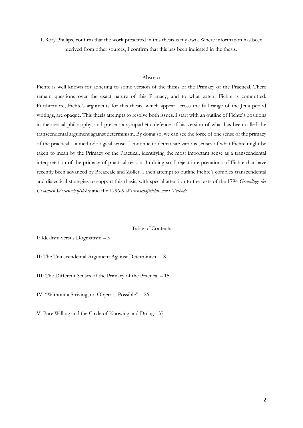I, Rory Phillips, confirm that the work presented in this thesis is my own. Where information has been derived from other sources, I confirm that this has been indicated in the thesis.

#### Abstract

Fichte is well known for adhering to some version of the thesis of the Primacy of the Practical. There remain questions over the exact nature of this Primacy, and to what extent Fichte is committed. Furthermore, Fichte's arguments for this thesis, which appear across the full range of the Jena period writings, are opaque. This thesis attempts to resolve both issues. I start with an outline of Fichte's positions in theoretical philosophy, and present a sympathetic defence of his version of what has been called the transcendental argument against determinism. By doing so, we can see the force of one sense of the primacy of the practical – a methodological sense. I continue to demarcate various senses of what Fichte might be taken to mean by the Primacy of the Practical, identifying the most important sense as a transcendental interpretation of the primacy of practical reason. In doing so, I reject interpretations of Fichte that have recently been advanced by Breazeale and Zöller. I then attempt to outline Fichte's complex transcendental and dialectical strategies to support this thesis, with special attention to the texts of the 1794 *Grundlage des Gesamten Wissenschaftslehre* and the 1796-9 *Wissenschaftslehre nova Methodo*.

#### Table of Contents

I: Idealism versus Dogmatism – 3

II: The Transcendental Argument Against Determinism – 8

III: The Different Senses of the Primacy of the Practical – 15

IV: "Without a Striving, no Object is Possible" – 26

V: Pure Willing and the Circle of Knowing and Doing - 37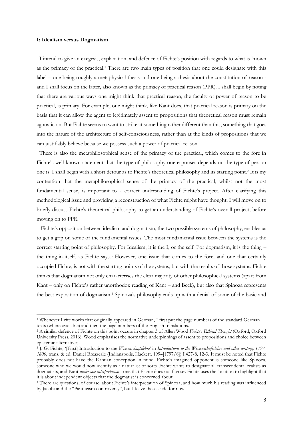#### **I: Idealism versus Dogmatism**

1

 I intend to give an exegesis, explanation, and defence of Fichte's position with regards to what is known as the primacy of the practical. <sup>1</sup> There are two main types of position that one could designate with this label – one being roughly a metaphysical thesis and one being a thesis about the constitution of reason and I shall focus on the latter, also known as the primacy of practical reason (PPR). I shall begin by noting that there are various ways one might think that practical reason, the faculty or power of reason to be practical, is primary. For example, one might think, like Kant does, that practical reason is primary on the basis that it can allow the agent to legitimately assent to propositions that theoretical reason must remain agnostic on. But Fichte seems to want to strike at something rather different than this, something that goes into the nature of the architecture of self-consciousness, rather than at the kinds of propositions that we can justifiably believe because we possess such a power of practical reason.

 There is also the metaphilosophical sense of the primacy of the practical, which comes to the fore in Fichte's well-known statement that the type of philosophy one espouses depends on the type of person one is. I shall begin with a short detour as to Fichte's theoretical philosophy and its starting point.<sup>2</sup> It is my contention that the metaphilosophical sense of the primacy of the practical, whilst not the most fundamental sense, is important to a correct understanding of Fichte's project. After clarifying this methodological issue and providing a reconstruction of what Fichte might have thought, I will move on to briefly discuss Fichte's theoretical philosophy to get an understanding of Fichte's overall project, before moving on to PPR.

 Fichte's opposition between idealism and dogmatism, the two possible systems of philosophy, enables us to get a grip on some of the fundamental issues. The most fundamental issue between the systems is the correct starting point of philosophy. For Idealism, it is the I, or the self. For dogmatism, it is the thing – the thing-in-itself, as Fichte says.<sup>3</sup> However, one issue that comes to the fore, and one that certainly occupied Fichte, is not with the starting points of the systems, but with the results of those systems. Fichte thinks that dogmatism not only characterises the clear majority of other philosophical systems (apart from Kant – only on Fichte's rather unorthodox reading of Kant – and Beck), but also that Spinoza represents the best exposition of dogmatism.<sup>4</sup> Spinoza's philosophy ends up with a denial of some of the basic and

<sup>1</sup> Whenever I cite works that originally appeared in German, I first put the page numbers of the standard German texts (where available) and then the page numbers of the English translations.

<sup>2</sup> A similar defence of Fichte on this point occurs in chapter 3 of Allen Wood *Fichte's Ethical Thought* (Oxford, Oxford University Press, 2016). Wood emphasises the normative underpinnings of assent to propositions and choice between epistemic alternatives.

<sup>3</sup> J. G. Fichte, '[First] Introduction to the *Wissenschaftslehre*' in *Introductions to the Wissenschaftslehre and other writings 1797- 1800*, trans. & ed. Daniel Breazeale (Indianapolis, Hackett, 1994[1797/8]) I:427-8, 12-3. It must be noted that Fichte probably does not have the Kantian conception in mind. Fichte's imagined opponent is someone like Spinoza, someone who we would now identify as a naturalist of sorts. Fichte wants to designate all transcendental realists as dogmatists, and Kant *under one interpretation* - one that Fichte does not favour. Fichte uses the locution to highlight that it is about independent objects that the dogmatist is concerned about.

<sup>4</sup> There are questions, of course, about Fichte's interpretation of Spinoza, and how much his reading was influenced by Jacobi and the "Pantheism controversy", but I leave these aside for now.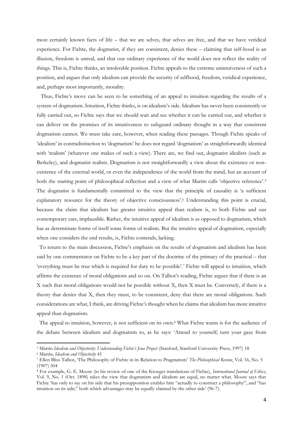most certainly known facts of life – that we are selves, that selves are free, and that we have veridical experience. For Fichte, the dogmatist, if they are consistent, denies these – claiming that self-hood is an illusion, freedom is unreal, and that our ordinary experience of the world does not reflect the reality of things. This is, Fichte thinks, an intolerable position. Fichte appeals to the extreme unintuiveness of such a position, and argues that only idealism can provide the security of selfhood, freedom, veridical experience, and, perhaps most importantly, morality.

 Thus, Fichte's move can be seen to be something of an appeal to intuition regarding the results of a system of dogmatism. Intuition, Fichte thinks, is on idealism's side. Idealism has never been consistently or fully carried out, so Fichte says that we should wait and see whether it can be carried out, and whether it can deliver on the promises of its intuitiveness to safeguard ordinary thought in a way that consistent dogmatism cannot. We must take care, however, when reading these passages. Though Fichte speaks of 'idealism' in contradistinction to 'dogmatism' he does not regard 'dogmatism' as straightforwardly identical with 'realism' (whatever one makes of such a view). There are, we find out, dogmatist idealists (such as Berkeley), and dogmatist realists. Dogmatism is not straightforwardly a view about the existence or nonexistence of the external world, or even the independence of the world from the mind, but an account of both the starting point of philosophical reflection and a view of what Martin calls 'objective reference'.<sup>5</sup> The dogmatist is fundamentally committed to the view that the principle of causality is 'a sufficient explanatory resource for the theory of objective consciousness'. <sup>6</sup> Understanding this point is crucial, because the claim that idealism has greater intuitive appeal than realism is, to both Fichte and our contemporary ears, implausible. Rather, the intuitive appeal of idealism is as opposed to dogmatism, which has as determinate forms of itself some forms of realism. But the intuitive appeal of dogmatism, especially when one considers the end results, is, Fichte contends, lacking.

 To return to the main discussion, Fichte's emphasis on the results of dogmatism and idealism has been said by one commentator on Fichte to be a key part of the doctrine of the primacy of the practical – that 'everything must be true which is required for duty to be possible'.<sup>7</sup> Fichte will appeal to intuition, which affirms the existence of moral obligations and so on. On Talbot's reading, Fichte argues that if there is an X such that moral obligations would not be possible without X, then X must be. Conversely, if there is a theory that denies that X, then they must, to be consistent, deny that there are moral obligations. Such considerations are what, I think, are driving Fichte's thought when he claims that idealism has more intuitive appeal than dogmatism.

 The appeal to intuition, however, is not sufficient on its own.<sup>8</sup> What Fichte wants is for the audience of the debate between idealism and dogmatism to, as he says: 'Attend to yourself; turn your gaze from

<sup>5</sup> Martin *Idealism and Objectivity: Understanding Fichte's Jena Project* (Stanford, Stanford University Press, 1997) 18

<sup>6</sup> Martin, *Idealism and Objectivity* 41

<sup>7</sup> Ellen Bliss Talbot, 'The Philosophy of Fichte in its Relation to Pragmatism' *The Philosophical Review*, Vol. 16, No. 5 (1907) 504

<sup>8</sup> For example, G. E. Moore (in his review of one of the Kroeger translations of Fichte), *International Journal of Ethics*, Vol. 9, No. 1 (Oct. 1898) takes the view that dogmatism and idealism are equal, no matter what. Moore says that Fichte 'has only to say on his side that his presupposition enables him "actually to construct a philosophy", and "has intuition on its side;" both which advantages may be equally claimed by the other side' (96-7).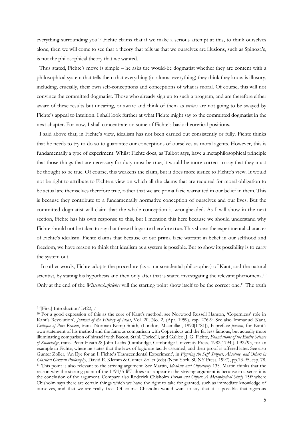everything surrounding you'. <sup>9</sup> Fichte claims that if we make a serious attempt at this, to think ourselves alone, then we will come to see that a theory that tells us that we ourselves are illusions, such as Spinoza's, is not the philosophical theory that we wanted.

 Thus stated, Fichte's move is simple – he asks the would-be dogmatist whether they are content with a philosophical system that tells them that everything (or almost everything) they think they know is illusory, including, crucially, their own self-conceptions and conceptions of what is moral. Of course, this will not convince the committed dogmatist. Those who already sign up to such a program, and are therefore either aware of these results but uncaring, or aware and think of them as *virtues* are not going to be swayed by Fichte's appeal to intuition. I shall look further at what Fichte might say to the committed dogmatist in the next chapter. For now, I shall concentrate on some of Fichte's basic theoretical positions.

 I said above that, in Fichte's view, idealism has not been carried out consistently or fully. Fichte thinks that he needs to try to do so to guarantee our conceptions of ourselves as moral agents. However, this is fundamentally a type of experiment. Whilst Fichte does, as Talbot says, have a metaphilosophical principle that those things that are necessary for duty must be true, it would be more correct to say that they must be thought to be true. Of course, this weakens the claim, but it does more justice to Fichte's view. It would not be right to attribute to Fichte a view on which all the claims that are required for moral obligation to be actual are themselves therefore true, rather that we are prima facie warranted in our belief in them. This is because they contribute to a fundamentally normative conception of ourselves and our lives. But the committed dogmatist will claim that the whole conception is wrongheaded. As I will show in the next section, Fichte has his own response to this, but I mention this here because we should understand why Fichte should not be taken to say that these things are therefore true. This shows the experimental character of Fichte's idealism. Fichte claims that because of our prima facie warrant in belief in our selfhood and freedom, we have reason to think that idealism as a system is possible. But to show its possibility is to carry the system out.

 In other words, Fichte adopts the procedure (as a transcendental philosopher) of Kant, and the natural scientist, by stating his hypothesis and then only after that is stated investigating the relevant phenomena.<sup>10</sup> Only at the end of the *Wissenschaftslehre* will the starting point show itself to be the correct one.<sup>11</sup> The truth

<sup>&</sup>lt;sup>9</sup> '[First] Introduction' I:422, 7

<sup>&</sup>lt;sup>10</sup> For a good expression of this as the core of Kant's method, see Norwood Russell Hanson, 'Copernicus' role in Kant's Revolution', *Journal of the History of Ideas*, Vol. 20, No. 2, (Apr. 1959), esp. 276-9. See also Immanuel Kant, *Critique of Pure Reason*, trans. Norman Kemp Smith, (London, Macmillan, 1990[1781]), B-preface *passim*, for Kant's own statement of his method and the famous comparison with Copernicus and the far less famous, but actually more illuminating comparison of himself with Bacon, Stahl, Toricelli, and Galileo; J. G. Fichte, *Foundations of the Entire Science of Knowledge*, trans. Peter Heath & John Lachs (Cambridge, Cambridge University Press, 1982[1794]), I:92/93, for an example in Fichte, where he states that the laws of logic are tacitly assumed, and their proof is offered later. See also Gunter Zoller, 'An Eye for an I: Fichte's Transcendental Experiment', in *Figuring the Self: Subject, Absolute, and Others in Classical German Philosophy*, David E. Klemm & Gunter Zoller (eds) (New York, SUNY Press, 1997), pp.73-95, esp. 78. <sup>11</sup> This point is also relevant to the striving argument. See Martin, *Idealism and Objectivity* 135. Martin thinks that the reason why the starting point of the 1794/5 *WL* does not appear in the striving argument is because in a sense it is the conclusion of the argument. Compare also Roderick Chisholm *Person and Object: A Metaphysical Study* 15ff where Chisholm says there are certain things which we have the right to take for granted, such as immediate knowledge of ourselves, and that we are really free. Of course Chisholm would want to say that it is possible that rigorous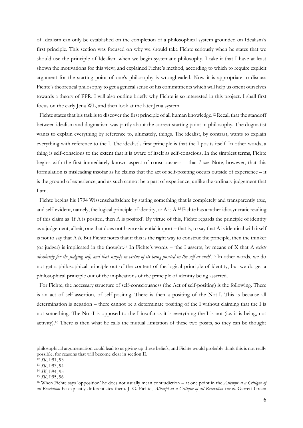of Idealism can only be established on the completion of a philosophical system grounded on Idealism's first principle. This section was focused on why we should take Fichte seriously when he states that we should use the principle of Idealism when we begin systematic philosophy. I take it that I have at least shown the motivations for this view, and explained Fichte's method, according to which to require explicit argument for the starting point of one's philosophy is wrongheaded. Now it is appropriate to discuss Fichte's theoretical philosophy to get a general sense of his commitments which will help us orient ourselves towards a theory of PPR. I will also outline briefly why Fichte is so interested in this project. I shall first focus on the early Jena WL, and then look at the later Jena system.

Fichte states that his task is to discover the first principle of all human knowledge.<sup>12</sup> Recall that the standoff between idealism and dogmatism was partly about the correct starting point in philosophy. The dogmatist wants to explain everything by reference to, ultimately, things. The idealist, by contrast, wants to explain everything with reference to the I. The idealist's first principle is that the I posits itself. In other words, a thing is self-conscious to the extent that it is aware of itself as self-conscious. In the simplest terms, Fichte begins with the first immediately known aspect of consciousness – that *I am.* Note, however, that this formulation is misleading insofar as he claims that the act of self-positing occurs outside of experience – it is the ground of experience, and as such cannot be a part of experience, unlike the ordinary judgement that I am.

 Fichte begins his 1794 Wissenschaftslehre by stating something that is completely and transparently true, and self-evident, namely, the logical principle of identity, or A is A.<sup>13</sup> Fichte has a rather idiosyncratic reading of this claim as 'If A is posited, then A is posited'. By virtue of this, Fichte regards the principle of identity as a judgement, albeit, one that does not have existential import – that is, to say that A is identical with itself is not to say that A *is*. But Fichte notes that if this is the right way to construe the principle, then the thinker (or judger) is implicated in the thought.<sup>14</sup> In Fichte's words – 'the I asserts, by means of X that A *exists absolutely for the judging self, and that simply in virtue of its being posited in the self as such*'.<sup>15</sup> In other words, we do not get a philosophical principle out of the content of the logical principle of identity, but we do get a philosophical principle out of the implications of the principle of identity being asserted.

 For Fichte, the necessary structure of self-consciousness (the Act of self-positing) is the following. There is an act of self-assertion, of self-positing. There is then a positing of the Not-I. This is because all determination is negation – there cannot be a determinate positing of the I without claiming that the I is not something. The Not-I is opposed to the I insofar as it is everything the I is not (i.e. it is being, not activity).<sup>16</sup> There is then what he calls the mutual limitation of these two posits, so they can be thought

philosophical argumentation could lead to us giving up these beliefs, and Fichte would probably think this is not really possible, for reasons that will become clear in section II.

<sup>12</sup> *SK*, I:91, 93

<sup>13</sup> *SK*, I:93, 94

<sup>14</sup> *SK*, I:94, 95

<sup>15</sup> *SK*, I:95, 96

<sup>16</sup> When Fichte says 'opposition' he does not usually mean contradiction – at one point in the *Attempt at a Critique of all Revelation* he explicitly differentiates them. J. G. Fichte, *Attempt at a Critique of all Revelation* trans. Garrett Green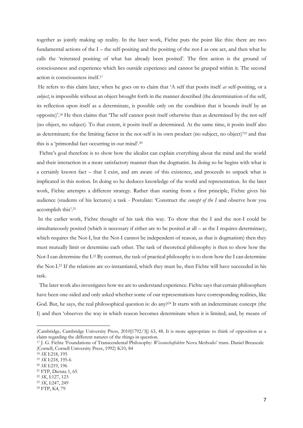together as jointly making up reality. In the later work, Fichte puts the point like this: there are two fundamental actions of the  $I$  – the self-positing and the positing of the not-I as one act, and then what he calls the 'reiterated positing of what has already been posited'. The first action is the ground of consciousness and experience which lies outside experience and cannot be grasped within it. The second action is consciousness itself.<sup>17</sup>

He refers to this claim later, when he goes on to claim that 'A self that posits itself *as* self-positing, or a *subject*, is impossible without an object brought forth in the manner described (the determination of the self, its reflection upon itself as a determinate, is possible only on the condition that it bounds itself by an opposite)'.<sup>18</sup> He then claims that 'The self cannot posit itself otherwise than as determined by the not-self (no object, no subject). To that extent, it posits itself as determined. At the same time, it posits itself also as determinant; for the limiting factor in the not-self is its own product (no subject, no object)'<sup>19</sup> and that this is a 'primordial fact occurring in our mind'. 20

 Fichte's goal therefore is to show how the idealist can explain everything about the mind and the world and their interaction in a more satisfactory manner than the dogmatist. In doing so he begins with what is a certainly known fact – that I exist, and am aware of this existence, and proceeds to unpack what is implicated in this notion. In doing so he deduces knowledge of the world and representation. In the later work, Fichte attempts a different strategy. Rather than starting from a first principle, Fichte gives his audience (students of his lectures) a task - Postulate: 'Construct the *concept of the I* and observe how you accomplish this'.<sup>21</sup>

In the earlier work, Fichte thought of his task this way. To show that the I and the not-I could be simultaneously posited (which is necessary if either are to be posited at all – as the I requires determinacy, which requires the Not-I, but the Not-I cannot be independent of reason, as that is dogmatism) then they must mutually limit or determine each other. The task of theoretical philosophy is then to show how the Not-I can determine the I.<sup>22</sup> By contrast, the task of practical philosophy is to show how the I can determine the Not-I.<sup>23</sup> If the relations are co-instantiated, which they must be, then Fichte will have succeeded in his task.

 The later work also investigates how we are to understand experience. Fichte says that certain philosophers have been one-sided and only asked whether some of our representations have corresponding realities, like God. But, he says, the real philosophical question is: do any?<sup>24</sup> It starts with an indeterminate concept (the I) and then 'observes the way in which reason becomes determinate when it is limited; and, by means of

<sup>(</sup>Cambridge, Cambridge University Press, 2010[1792/3]) 63, 48. It is more appropriate to think of opposition as a claim regarding the different natures of the things in question.

<sup>17</sup> J. G. Fichte 'Foundations of Transcendental Philosophy: *Wissenschaftslehre* Nova Methodo' trans. Daniel Breazeale (Cornell, Cornell University Press, 1992) K10, 84

<sup>18</sup> *SK* I:218, 195

<sup>19</sup> *SK* I:218, 195-6

<sup>20</sup> *SK* I:219, 196

<sup>21</sup> FTP, Dictata 1, 65

<sup>22</sup> *SK*, I:127, 123

<sup>23</sup> *SK*, I:247, 249

<sup>24</sup> FTP, K4, 79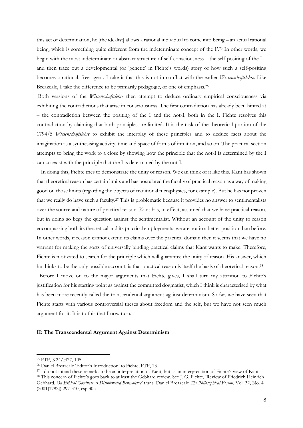this act of determination, he [the idealist] allows a rational individual to come into being – an actual rational being, which is something quite different from the indeterminate concept of the I'. <sup>25</sup> In other words, we begin with the most indeterminate or abstract structure of self-consciousness – the self-positing of the I – and then trace out a developmental (or 'genetic' in Fichte's words) story of how such a self-positing becomes a rational, free agent. I take it that this is not in conflict with the earlier *Wissenschaftslehre*. Like Breazeale, I take the difference to be primarily pedagogic, or one of emphasis.<sup>26</sup>

Both versions of the *Wissenschaftslehre* then attempt to deduce ordinary empirical consciousness via exhibiting the contradictions that arise in consciousness. The first contradiction has already been hinted at – the contradiction between the positing of the I and the not-I, both in the I. Fichte resolves this contradiction by claiming that both principles are limited. It is the task of the theoretical portion of the 1794/5 *Wissenschaftslehre* to exhibit the interplay of these principles and to deduce facts about the imagination as a synthesising activity, time and space of forms of intuition, and so on. The practical section attempts to bring the work to a close by showing how the principle that the not-I is determined by the I can co-exist with the principle that the I is determined by the not-I.

 In doing this, Fichte tries to demonstrate the unity of reason. We can think of it like this. Kant has shown that theoretical reason has certain limits and has postulated the faculty of practical reason as a way of making good on those limits (regarding the objects of traditional metaphysics, for example). But he has not proven that we really do have such a faculty.<sup>27</sup> This is problematic because it provides no answer to sentimentalists over the source and nature of practical reason. Kant has, in effect, assumed that we have practical reason, but in doing so begs the question against the sentimentalist. Without an account of the unity to reason encompassing both its theoretical and its practical employments, we are not in a better position than before. In other words, if reason cannot extend its claims over the practical domain then it seems that we have no warrant for making the sorts of universally binding practical claims that Kant wants to make. Therefore, Fichte is motivated to search for the principle which will guarantee the unity of reason. His answer, which he thinks to be the only possible account, is that practical reason is itself the basis of theoretical reason.<sup>28</sup>

 Before I move on to the major arguments that Fichte gives, I shall turn my attention to Fichte's justification for his starting point as against the committed dogmatist, which I think is characterised by what has been more recently called the transcendental argument against determinism. So far, we have seen that Fichte starts with various controversial theses about freedom and the self, but we have not seen much argument for it. It is to this that I now turn.

#### **II: The Transcendental Argument Against Determinism**

<sup>25</sup> FTP, K24/H27, 105

<sup>26</sup> Daniel Breazeale 'Editor's Introduction' to Fichte, FTP, 13.

<sup>27</sup> I do not intend these remarks to be an interpretation of Kant, but as an interpretation of Fichte's view of Kant.

<sup>&</sup>lt;sup>28</sup> This concern of Fichte's goes back to at least the Gebhard review. See J. G. Fichte, 'Review of Friedrich Heinrich Gebhard, *On Ethical Goodness as Disinterested Benevolence*' trans. Daniel Breazeale *The Philosophical Forum*, Vol. 32, No. 4 (2001[1792]) 297-310, esp.305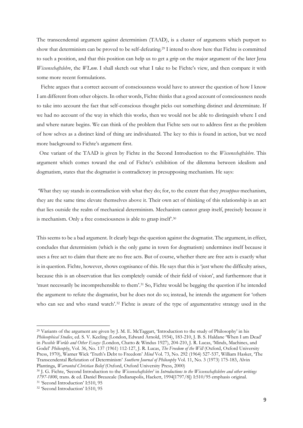The transcendental argument against determinism (TAAD), is a cluster of arguments which purport to show that determinism can be proved to be self-defeating.<sup>29</sup> I intend to show here that Fichte is committed to such a position, and that this position can help us to get a grip on the major argument of the later Jena *Wissenschaftslehre*, the *WLnm*. I shall sketch out what I take to be Fichte's view, and then compare it with some more recent formulations.

 Fichte argues that a correct account of consciousness would have to answer the question of how I know I am different from other objects. In other words, Fichte thinks that a good account of consciousness needs to take into account the fact that self-conscious thought picks out something distinct and determinate. If we had no account of the way in which this works, then we would not be able to distinguish where I end and where nature begins. We can think of the problem that Fichte sets out to address first as the problem of how selves as a distinct kind of thing are individuated. The key to this is found in action, but we need more background to Fichte's argument first.

 One variant of the TAAD is given by Fichte in the Second Introduction to the *Wissenschaftslehre*. This argument which comes toward the end of Fichte's exhibition of the dilemma between idealism and dogmatism, states that the dogmatist is contradictory in presupposing mechanism. He says:

'What they say stands in contradiction with what they do; for, to the extent that they *presuppose* mechanism, they are the same time elevate themselves above it. Their own act of thinking of this relationship is an act that lies outside the realm of mechanical determinism. Mechanism cannot grasp itself, precisely because it is mechanism. Only a free consciousness is able to grasp itself.<sup>30</sup>

This seems to be a bad argument. It clearly begs the question against the dogmatist. The argument, in effect, concludes that determinism (which is the only game in town for dogmatism) undermines itself because it uses a free act to claim that there are no free acts. But of course, whether there are free acts is exactly what is in question. Fichte, however, shows cognisance of this. He says that this is 'just where the difficulty arises, because this is an observation that lies completely outside of their field of vision', and furthermore that it 'must necessarily be incomprehensible to them'.<sup>31</sup> So, Fichte would be begging the question if he intended the argument to refute the dogmatist, but he does not do so; instead, he intends the argument for 'others who can see and who stand watch'.<sup>32</sup> Fichte is aware of the type of argumentative strategy used in the

<sup>29</sup> Variants of the argument are given by J. M. E. McTaggart, 'Introduction to the study of Philosophy' in his *Philosophical Studies*, ed. S. V. Keeling (London, Edward Arnold, 1934), 183-210, J. B. S. Haldane 'When I am Dead' in *Possible Worlds and Other Essays* (London, Chatto & Windus 1927), 204-210, J. R. Lucas, 'Minds, Machines, and Godel' *Philosophy*, Vol. 36, No. 137 (1961) 112-127, J. R. Lucas, *The Freedom of the Will* (Oxford, Oxford University Press, 1970), Warner Wick 'Truth's Debt to Freedom' *Mind* Vol. 73, No. 292 (1964) 527-537, William Hasker, 'The Transcendental Refutation of Determinism' *Southern Journal of Philosophy* Vol. 11, No. 3 (1973) 175-183, Alvin Plantinga, *Warranted Christian Belief* (Oxford, Oxford University Press, 2000)

<sup>30</sup> J. G. Fichte, 'Second Introduction to the *Wissenschaftslehre*' in *Introductions to the Wissenschaftslehre and other writings 1797-1800*, trans. & ed. Daniel Breazeale (Indianapolis, Hackett, 1994[1797/8]) I:510/95 emphasis original.

<sup>31</sup> 'Second Introduction' I:510, 95

<sup>32</sup> 'Second Introduction' I:510, 95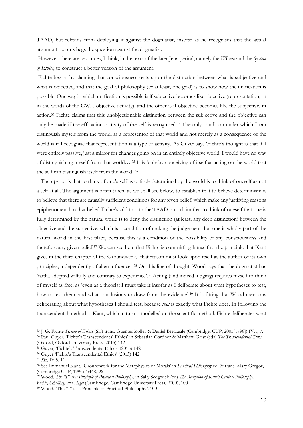TAAD, but refrains from deploying it against the dogmatist, insofar as he recognises that the actual argument he runs begs the question against the dogmatist.

However, there are resources, I think, in the texts of the later Jena period, namely the *WLnm* and the *System of Ethics*, to construct a better version of the argument.

Fichte begins by claiming that consciousness rests upon the distinction between what is subjective and what is objective, and that the goal of philosophy (or at least, one goal) is to show how the unification is possible. One way in which unification is possible is if subjective becomes like objective (representation, or in the words of the GWL, objective activity), and the other is if objective becomes like the subjective, in action.<sup>33</sup> Fichte claims that this unobjectionable distinction between the subjective and the objective can only be made if the efficacious activity of the self is recognised.<sup>34</sup> The only condition under which I can distinguish myself from the world, as a representor of that world and not merely as a consequence of the world is if I recognise that representation is a type of activity. As Guyer says 'Fichte's thought is that if I were entirely passive, just a mirror for changes going on in an entirely objective world, I would have no way of distinguishing myself from that world…'<sup>35</sup> It is 'only by conceiving of itself as acting on the world that the self can distinguish itself from the world'.<sup>36</sup>

 The upshot is that to think of one's self as entirely determined by the world is to think of oneself as not a self at all. The argument is often taken, as we shall see below, to establish that to believe determinism is to believe that there are causally sufficient conditions for any given belief, which make any justifying reasons epiphenomenal to that belief. Fichte's addition to the TAAD is to claim that to think of oneself that one is fully determined by the natural world is to deny the distinction (at least, any deep distinction) between the objective and the subjective, which is a condition of making the judgement that one is wholly part of the natural world in the first place, because this is a condition of the possibility of any consciousness and therefore any given belief.<sup>37</sup> We can see here that Fichte is committing himself to the principle that Kant gives in the third chapter of the Groundwork, that reason must look upon itself as the author of its own principles, independently of alien influences.<sup>38</sup> On this line of thought, Wood says that the dogmatist has 'faith...adopted wilfully and contrary to experience'.<sup>39</sup> Acting (and indeed judging) requires myself to think of myself as free, as 'even as a theorist I must take it insofar as I deliberate about what hypotheses to test, how to test them, and what conclusions to draw from the evidence'.<sup>40</sup> It is fitting that Wood mentions deliberating about what hypotheses I should test, because *that* is exactly what Fichte does. In following the transcendental method in Kant, which in turn is modelled on the scientific method, Fichte deliberates what

<sup>33</sup> J. G. Fichte *System of Ethics* (SE) trans. Guenter Zöller & Daniel Breazeale (Cambridge, CUP, 2005[1798]) IV:1, 7. <sup>34</sup> Paul Guyer, 'Fichte's Transcendental Ethics' in Sebastian Gardner & Matthew Grist (eds) *The Transcendental Turn* 

<sup>(</sup>Oxford, Oxford University Press, 2015) 142

<sup>35</sup> Guyer, 'Fichte's Transcendental Ethics' (2015) 142

<sup>36</sup> Guyer 'Fichte's Transcendental Ethics' (2015) 142

<sup>37</sup> *SE*, IV:5, 11

<sup>38</sup> See Immanuel Kant, 'Groundwork for the Metaphysics of Morals' in *Practical Philosophy* ed. & trans. Mary Gregor, (Cambridge CUP, 1996) 4:448, 96

<sup>39</sup> Wood, *The "I" as a Pirnicple of Practical Philosophy*, in Sally Sedgwick (ed) *The Reception of Kant's Critical Philosophy: Fichte, Schelling, and Hegel* (Cambridge, Cambridge University Press, 2000), 100

<sup>40</sup> Wood, 'The "I" as a Principle of Practical Philosophy*',* 100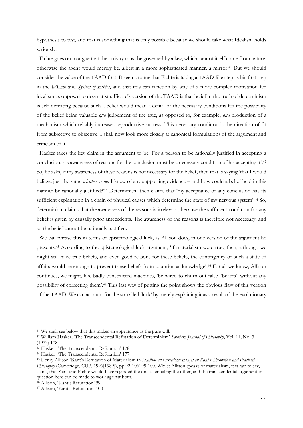hypothesis to test, and that is something that is only possible because we should take what Idealism holds seriously.

 Fichte goes on to argue that the activity must be governed by a law, which cannot itself come from nature, otherwise the agent would merely be, albeit in a more sophisticated manner, a mirror.<sup>41</sup> But we should consider the value of the TAAD first. It seems to me that Fichte is taking a TAAD-like step as his first step in the *WLnm* and *System of Ethics*, and that this can function by way of a more complex motivation for idealism as opposed to dogmatism. Fichte's version of the TAAD is that belief in the truth of determinism is self-defeating because such a belief would mean a denial of the necessary conditions for the possibility of the belief being valuable *qua* judgement of the true, as opposed to, for example, *qua* production of a mechanism which reliably increases reproductive success. This necessary condition is the direction of fit from subjective to objective. I shall now look more closely at canonical formulations of the argument and criticism of it.

 Hasker takes the key claim in the argument to be 'For a person to be rationally justified in accepting a conclusion, his awareness of reasons for the conclusion must be a necessary condition of his accepting it'.<sup>42</sup> So, he asks, if my awareness of these reasons is not necessary for the belief, then that is saying 'that I would believe just the same *whether or not* I knew of any supporting evidence – and how could a belief held in this manner be rationally justified?'<sup>43</sup> Determinism then claims that 'my acceptance of any conclusion has its sufficient explanation in a chain of physical causes which determine the state of my nervous system'.<sup>44</sup> So, determinism claims that the awareness of the reasons is irrelevant, because the sufficient condition for any belief is given by causally prior antecedents. The awareness of the reasons is therefore not necessary, and so the belief cannot be rationally justified.

 We can phrase this in terms of epistemological luck, as Allison does, in one version of the argument he presents.<sup>45</sup> According to the epistemological luck argument, 'if materialism were true, then, although we might still have true beliefs, and even good reasons for these beliefs, the contingency of such a state of affairs would be enough to prevent these beliefs from counting as knowledge'.<sup>46</sup> For all we know, Allison continues, we might, like badly constructed machines, 'be wired to churn out false "beliefs" without any possibility of correcting them'.<sup>47</sup> This last way of putting the point shows the obvious flaw of this version of the TAAD. We can account for the so-called 'luck' by merely explaining it as a result of the evolutionary

<sup>41</sup> We shall see below that this makes an appearance as the pure will.

<sup>42</sup> William Hasker, 'The Transcendental Refutation of Determinism' *Southern Journal of Philosophy*, Vol. 11, No. 3 (1973) 178

<sup>43</sup> Hasker 'The Transcendental Refutation' 178

<sup>44</sup> Hasker 'The Transcendental Refutation' 177

<sup>45</sup> Henry Allison 'Kant's Refutation of Materialism in *Idealism and Freedom: Essays on Kant's Theoretical and Practical Philosophy* (Cambridge, CUP, 1996[1989]), pp.92-106' 99-100. Whilst Allison speaks of materialism, it is fair to say, I think, that Kant and Fichte would have regarded the one as entailing the other, and the transcendental argument in question here can be made to work against both.

<sup>46</sup> Allison, 'Kant's Refutation' 99

<sup>47</sup> Allison, 'Kant's Refutation' 100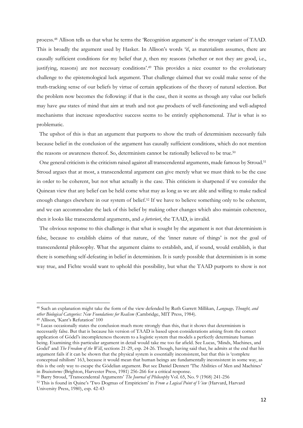process.<sup>48</sup> Allison tells us that what he terms the 'Recognition argument' is the stronger variant of TAAD. This is broadly the argument used by Hasker. In Allison's words 'if, as materialism assumes, there are causally sufficient conditions for my belief that *p*, then my reasons (whether or not they are good, i.e., justifying, reasons) are not necessary conditions'.<sup>49</sup> This provides a nice counter to the evolutionary challenge to the epistemological luck argument. That challenge claimed that we could make sense of the truth-tracking sense of our beliefs by virtue of certain applications of the theory of natural selection. But the problem now becomes the following: if that is the case, then it seems as though any value our beliefs may have *qua* states of mind that aim at truth and not *qua* products of well-functioning and well-adapted mechanisms that increase reproductive success seems to be entirely epiphenomenal. *That* is what is so problematic.

 The upshot of this is that an argument that purports to show the truth of determinism necessarily fails because belief in the conclusion of the argument has causally sufficient conditions, which do not mention the reasons or awareness thereof. So, determinism cannot be rationally believed to be true.<sup>50</sup>

 One general criticism is the criticism raised against all transcendental arguments, made famous by Stroud.<sup>51</sup> Stroud argues that at most, a transcendental argument can give merely what we must think to be the case in order to be coherent, but not what actually is the case. This criticism is sharpened if we consider the Quinean view that any belief can be held come what may as long as we are able and willing to make radical enough changes elsewhere in our system of belief.<sup>52</sup> If we have to believe something only to be coherent, and we can accommodate the lack of this belief by making other changes which also maintain coherence, then it looks like transcendental arguments, and *a forteriori*, the TAAD, is invalid.

 The obvious response to this challenge is that what is sought by the argument is not that determinism is false, because to establish claims of that nature, of the 'inner nature of things' is not the goal of transcendental philosophy. What the argument claims to establish, and, if sound, would establish, is that there is something self-defeating in belief in determinism. It is surely possible that determinism is in some way true, and Fichte would want to uphold this possibility, but what the TAAD purports to show is not

<sup>48</sup> Such an explanation might take the form of the view defended by Ruth Garrett Millikan, *Language, Thought, and other Biological Categories: New Foundations for Realism* (Cambridge, MIT Press, 1984).

<sup>49</sup> Allison, 'Kant's Refutation' 100

<sup>&</sup>lt;sup>50</sup> Lucas occasionally states the conclusion much more strongly than this, that it shows that determinism is necessarily false. But that is because his version of TAAD is based upon considerations arising from the correct application of Gödel's incompleteness theorem to a logistic system that models a perfectly determinate human being. Examining this particular argument in detail would take me too far afield. See Lucas, 'Minds, Machines, and Godel' and *The Freedom of the Will*, sections 21-29, esp. 24-26. Though, having said that, he admits at the end that his argument fails if it can be shown that the physical system is essentially inconsistent, but that this is 'complete conceptual nihilism' 163, because it would mean that human beings are fundamentally inconsistent in some way, as this is the only way to escape the Gödelian argument. But see Daniel Dennett 'The Abilities of Men and Machines' in *Brainstorms* (Brighton, Harvester Press, 1981) 256-266 for a critical response.

<sup>51</sup> Barry Stroud, 'Transcendental Arguments' *The Journal of Philosophy* Vol. 65, No. 9 (1968) 241-256

<sup>52</sup> This is found in Quine's 'Two Dogmas of Empiricism' in *From a Logical Point of View* (Harvard, Harvard University Press, 1980), esp. 42-43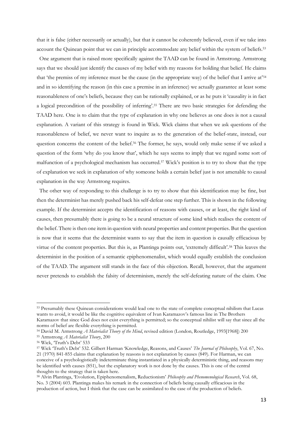that it is false (either necessarily or actually), but that it cannot be coherently believed, even if we take into account the Quinean point that we can in principle accommodate any belief within the system of beliefs.<sup>53</sup>

 One argument that is raised more specifically against the TAAD can be found in Armstrong. Armstrong says that we should just identify the causes of my belief with my reasons for holding that belief. He claims that 'the premiss of my inference must be the cause (in the appropriate way) of the belief that I arrive at'<sup>54</sup> and in so identifying the reason (in this case a premise in an inference) we actually guarantee at least some reasonableness of one's beliefs, because they can be rationally explained, or as he puts it 'causality is in fact a logical precondition of the possibility of inferring'.<sup>55</sup> There are two basic strategies for defending the TAAD here. One is to claim that the type of explanation in why one believes as one does is not a causal explanation. A variant of this strategy is found in Wick. Wick claims that when we ask questions of the reasonableness of belief, we never want to inquire as to the generation of the belief-state, instead, our question concerns the content of the belief.<sup>56</sup> The former, he says, would only make sense if we asked a question of the form 'why do you know that', which he says seems to imply that we regard some sort of malfunction of a psychological mechanism has occurred.<sup>57</sup> Wick's position is to try to show that the type of explanation we seek in explanation of why someone holds a certain belief just is not amenable to causal explanation in the way Armstrong requires.

 The other way of responding to this challenge is to try to show that this identification may be fine, but then the determinist has merely pushed back his self-defeat one step further. This is shown in the following example. If the determinist accepts the identification of reasons with causes, or at least, the right kind of causes, then presumably there is going to be a neural structure of some kind which realises the content of the belief. There is then one item in question with neural properties and content properties. But the question is now that it seems that the determinist wants to say that the item in question is causally efficacious by virtue of the content properties. But this is, as Plantinga points out, 'extremely difficult'.<sup>58</sup> This leaves the determinist in the position of a semantic epiphenomenalist, which would equally establish the conclusion of the TAAD. The argument still stands in the face of this objection. Recall, however, that the argument never pretends to establish the falsity of determinism, merely the self-defeating nature of the claim. One

<sup>53</sup> Presumably these Quinean considerations would lead one to the state of complete conceptual nihilism that Lucas wants to avoid, it would be like the cognitive equivalent of Ivan Karamazov's famous line in The Brothers Karamazov that since God does not exist everything is permitted; so the conceptual nihilist will say that since all the norms of belief are flexible everything is permitted.

<sup>54</sup> David M. Armstrong *A Materialist Theory of the Mind*, revised edition (London, Routledge, 1993[1968]) 200

<sup>55</sup> Armstrong *A Materialist Theory*, 200

<sup>56</sup> Wick, 'Truth's Debt' 533

<sup>57</sup> Wick 'Truth's Debt' 532. Gilbert Harman 'Knowledge, Reasons, and Causes' *The Journal of Philosophy*, Vol. 67, No. 21 (1970) 841-855 claims that explanation by reasons is not explanation by causes (849). For Harman, we can conceive of a psychologistically indeterminate thing instantiated in a physically deterministic thing, and reasons may be identified with causes (851), but the explanatory work is not done by the causes. This is one of the central thoughts to the strategy that is taken here.

<sup>58</sup> Alvin Plantinga, 'Evolution, Epiphenomenalism, Reductionism' *Philosophy and Phenomenological Research*, Vol. 68, No. 3 (2004) 603. Plantinga makes his remark in the connection of beliefs being causally efficacious in the production of action, but I think that the case can be assimilated to the case of the production of beliefs.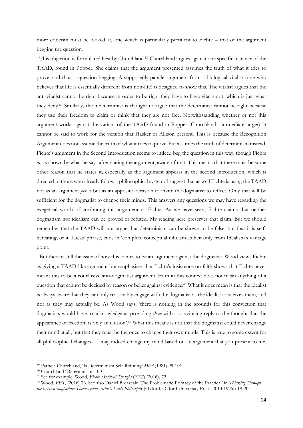more criticism must be looked at, one which is particularly pertinent to Fichte – that of the argument begging the question.

 This objection is formulated best by Churchland.<sup>59</sup> Churchland argues against one specific instance of the TAAD, found in Popper. She claims that the argument presented assumes the truth of what it tries to prove, and thus is question begging. A supposedly parallel argument from a biological vitalist (one who believes that life is essentially different from non-life) is designed to show this. The vitalist argues that the anti-vitalist cannot be right because in order to be right they have to have vital spirit, which is just what they deny.<sup>60</sup> Similarly, the indeterminist is thought to argue that the determinist cannot be right because they use their freedom to claim or think that they are not free. Notwithstanding whether or not this argument works against the variant of the TAAD found in Popper (Churchland's immediate target), it cannot be said to work for the version that Hasker or Allison present. This is because the Recognition Argument does not assume the truth of what it tries to prove, but assumes the truth of determinism instead. Fichte's argument in the Second Introduction seems to indeed beg the question in this way, though Fichte is, as shown by what he says after stating the argument, aware of that. This means that there must be some other reason that he states it, especially as the argument appears in the second introduction, which is directed to those who already follow a philosophical system. I suggest that as well Fichte is using the TAAD not as an argument *per se* but as an apposite occasion to invite the dogmatist to reflect. Only that will be sufficient for the dogmatist to change their minds. This answers any questions we may have regarding the exegetical worth of attributing this argument to Fichte. As we have seen, Fichte claims that neither dogmatism nor idealism can be proved or refuted. My reading here preserves that claim. But we should remember that the TAAD will not argue that determinism can be shown to be false, but that it is selfdefeating, or in Lucas' phrase, ends in 'complete conceptual nihilism', albeit only from Idealism's vantage point.

 But there is still the issue of how this comes to be an argument against the dogmatist. Wood views Fichte as giving a TAAD-like argument but emphasises that Fichte's insistence on faith shows that Fichte never meant this to be a conclusive anti-dogmatist argument. Faith in this context does not mean anything of a question that cannot be decided by reason or belief against evidence.<sup>61</sup> What it does mean is that the idealist is always aware that they can only reasonably engage with the dogmatist as the idealist conceives them, and not as they may actually be. As Wood says, 'there is nothing in the grounds for this conviction that dogmatists would have to acknowledge as providing *them* with a convincing reply to the thought that the appearance of freedom is only an illusion'. <sup>62</sup> What this means is not that the dogmatist could never change their mind at all, but that they must be the ones to change their own minds. This is true to some extent for all philosophical changes – I may indeed change my mind based on an argument that you present to me,

<sup>59</sup> Patricia Churchland, 'Is Determinism Self-Refuting' *Mind* (1981) 99-101

<sup>60</sup> Churchland 'Determinism' 100

<sup>61</sup> See for example, Wood, *Fichte's Ethical Thought* (FET) (2016), 72

<sup>62</sup> Wood, *FET*, (2016) 76. See also Daniel Breazeale 'The Problematic Primacy of the Practical' in *Thinking Through the Wissenschaftslehre: Themes from Fichte's Early Philosophy* (Oxford, Oxford University Press, 2013[1996]) 19-20.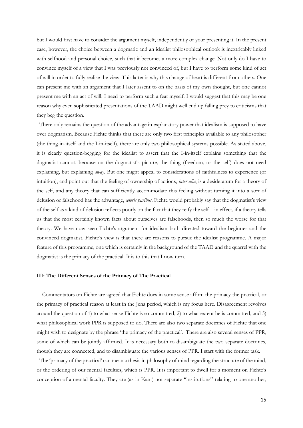but I would first have to consider the argument myself, independently of your presenting it. In the present case, however, the choice between a dogmatic and an idealist philosophical outlook is inextricably linked with selfhood and personal choice, such that it becomes a more complex change. Not only do I have to convince myself of a view that I was previously not convinced of, but I have to perform some kind of act of will in order to fully realise the view. This latter is why this change of heart is different from others. One can present me with an argument that I later assent to on the basis of my own thought, but one cannot present me with an act of will. I need to perform such a feat myself. I would suggest that this may be one reason why even sophisticated presentations of the TAAD might well end up falling prey to criticisms that they beg the question.

 There only remains the question of the advantage in explanatory power that idealism is supposed to have over dogmatism. Because Fichte thinks that there are only two first principles available to any philosopher (the thing-in-itself and the I-in-itself), there are only two philosophical systems possible. As stated above, it is clearly question-begging for the idealist to assert that the I-in-itself explains something that the dogmatist cannot, because on the dogmatist's picture, the thing (freedom, or the self) does not need explaining, but explaining *away*. But one might appeal to considerations of faithfulness to experience (or intuition), and point out that the feeling of ownership of actions, *inter alia*, is a desideratum for a theory of the self, and any theory that can sufficiently accommodate this feeling without turning it into a sort of delusion or falsehood has the advantage, *ceteris paribus*. Fichte would probably say that the dogmatist's view of the self as a kind of delusion reflects poorly on the fact that they reify the self – in effect, if a theory tells us that the most certainly known facts about ourselves are falsehoods, then so much the worse for that theory. We have now seen Fichte's argument for idealism both directed toward the beginner and the convinced dogmatist. Fichte's view is that there are reasons to pursue the idealist programme. A major feature of this programme, one which is certainly in the background of the TAAD and the quarrel with the dogmatist is the primacy of the practical. It is to this that I now turn.

#### **III: The Different Senses of the Primacy of The Practical**

 Commentators on Fichte are agreed that Fichte does in some sense affirm the primacy the practical, or the primacy of practical reason at least in the Jena period, which is my focus here. Disagreement revolves around the question of 1) to what sense Fichte is so committed, 2) to what extent he is committed, and 3) what philosophical work PPR is supposed to do. There are also two separate doctrines of Fichte that one might wish to designate by the phrase 'the primacy of the practical'. There are also several senses of PPR, some of which can be jointly affirmed. It is necessary both to disambiguate the two separate doctrines, though they are connected, and to disambiguate the various senses of PPR. I start with the former task.

 The 'primacy of the practical' can mean a thesis in philosophy of mind regarding the structure of the mind, or the ordering of our mental faculties, which is PPR. It is important to dwell for a moment on Fichte's conception of a mental faculty. They are (as in Kant) not separate "institutions" relating to one another,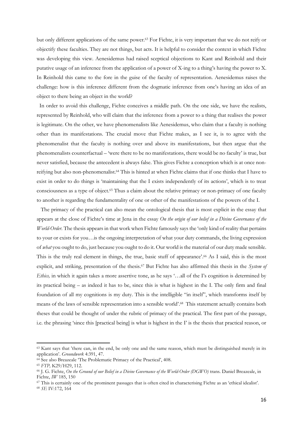but only different applications of the same power.<sup>63</sup> For Fichte, it is very important that we do not reify or objectify these faculties. They are not things, but acts. It is helpful to consider the context in which Fichte was developing this view. Aenesidemus had raised sceptical objections to Kant and Reinhold and their putative usage of an inference from the application of a power of X-ing to a thing's having the power to X. In Reinhold this came to the fore in the guise of the faculty of representation. Aenesidemus raises the challenge: how is this inference different from the dogmatic inference from one's having an idea of an object to there being an object in the world?

 In order to avoid this challenge, Fichte conceives a middle path. On the one side, we have the realists, represented by Reinhold, who will claim that the inference from a power to a thing that realises the power is legitimate. On the other, we have phenomenalists like Aenesidemus, who claim that a faculty is nothing other than its manifestations. The crucial move that Fichte makes, as I see it, is to agree with the phenomenalist that the faculty is nothing over and above its manifestations, but then argue that the phenomenalists counterfactual – 'were there to be no manifestations, there would be no faculty' is true, but never satisfied, because the antecedent is always false. This gives Fichte a conception which is at once nonreifying but also non-phenomenalist.<sup>64</sup> This is hinted at when Fichte claims that if one thinks that I have to exist in order to do things is 'maintaining that the I exists independently of its actions', which is to treat consciousness as a type of object.<sup>65</sup> Thus a claim about the relative primacy or non-primacy of one faculty to another is regarding the fundamentality of one or other of the manifestations of the powers of the I.

 The primacy of the practical can also mean the ontological thesis that is most explicit in the essay that appears at the close of Fichte's time at Jena in the essay *On the origin of our belief in a Divine Governance of the World-Order.* The thesis appears in that work when Fichte famously says the 'only kind of reality that pertains to your or exists for you…is the ongoing interpretation of what your duty commands, the living expression of *what* you ought to do, just because you ought to do it. Our world is the material of our duty made sensible. This is the truly real element in things, the true, basic stuff of appearance'. <sup>66</sup> As I said, this is the most explicit, and striking, presentation of the thesis.<sup>67</sup> But Fichte has also affirmed this thesis in the *System of Ethics,* in which it again takes a more assertive tone, as he says '…all of the I's cognition is determined by its practical being – as indeed it has to be, since this is what is highest in the I. The only firm and final foundation of all my cognitions is my duty. This is the intelligible "in itself", which transforms itself by means of the laws of sensible representation into a sensible world'. <sup>68</sup> This statement actually contains both theses that could be thought of under the rubric of primacy of the practical. The first part of the passage, i.e. the phrasing 'since this [practical being] is what is highest in the I' is the thesis that practical reason, or

<sup>&</sup>lt;sup>63</sup> Kant says that 'there can, in the end, be only one and the same reason, which must be distinguished merely in its application'. *Groundwork* 4:391, 47.

<sup>&</sup>lt;sup>64</sup> See also Breazeale 'The Problematic Primacy of the Practical', 408.

<sup>65</sup> *FTP,* K29/H29, 112.

<sup>66</sup> J. G. Fichte, *On the Ground of our Belief in a Divine Governance of the World-Order (DGWO)* trans. Daniel Breazeale, in Fichte, *IW* 185, 150

<sup>67</sup> This is certainly one of the prominent passages that is often cited in characterising Fichte as an 'ethical idealist'.

<sup>68</sup> *SE* IV:172, 164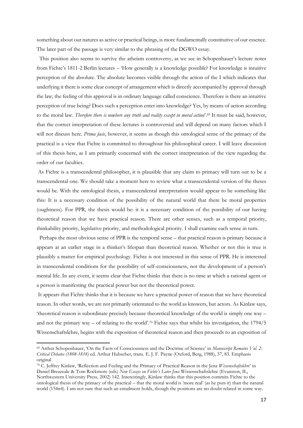something about our natures as active or practical beings, is more fundamentally constitutive of our essence. The later part of the passage is very similar to the phrasing of the DGWO essay.

 This position also seems to survive the atheism controversy, as we see in Schopenhauer's lecture notes from Fichte's 1811-2 Berlin lectures – 'How generally is a knowledge possible? For knowledge is intuitive perception of the absolute. The absolute becomes visible through the action of the I which indicates that underlying it there is some clear concept of arrangement which is directly accompanied by approval through the law; the feeling of this approval is in ordinary language called conscience. Therefore is there an intuitive perception of true being? Does such a perception enter into knowledge? Yes, by means of action according to the moral law. *Therefore there is nowhere any truth and reality except in moral action*'.<sup>69</sup> It must be said, however, that the correct interpretation of these lectures is controversial and will depend on many factors which I will not discuss here. *Prima facie*, however, it seems as though this ontological sense of the primacy of the practical is a view that Fichte is committed to throughout his philosophical career. I will leave discussion of this thesis here, as I am primarily concerned with the correct interpretation of the view regarding the order of our faculties.

As Fichte is a transcendental philosopher, it is plausible that any claim to primacy will turn out to be a transcendental one. We should take a moment here to review what a transcendental version of the theses would be. With the ontological thesis, a transcendental interpretation would appear to be something like this: It is a necessary condition of the possibility of the natural world that there be moral properties (oughtness). For PPR, the thesis would be: it is a necessary condition of the possibility of our having theoretical reason that we have practical reason. There are other senses, such as a temporal priority, thinkability priority, legislative priority, and methodological priority. I shall examine each sense in turn.

 Perhaps the most obvious sense of PPR is the temporal sense – that practical reason is primary because it appears at an earlier stage in a thinker's lifespan than theoretical reason. Whether or not this is true is plausibly a matter for empirical psychology. Fichte is not interested in this sense of PPR. He is interested in transcendental conditions for the possibility of self-consciousness, not the development of a person's mental life. In any event, it seems clear that Fichte thinks that there is no time at which a rational agent or a person is manifesting the practical power but not the theoretical power.

It appears that Fichte thinks that it is because we have a practical power of reason that we have theoretical reason. In other words, we are not primarily orientated to the world as knowers, but actors. As Kinlaw says, 'theoretical reason is subordinate precisely because theoretical knowledge of the world is simply one way – and not the primary way – of relating to the world'. <sup>70</sup> Fichte says that whilst his investigation, the 1794/5 Wissenschaftslehre, begins with the exposition of theoretical reason and then proceeds to an exposition of

<sup>69</sup> Arthur Schopenhauer, 'On the Facts of Consciousness and the Doctrine of Science' in *Manuscript Remains Vol. 2: Critical Debates (1808-1818)* ed. Arthur Hubscher, trans. E. J. F. Payne (Oxford, Berg, 1988), 37, 83. Emphasis original

<sup>70</sup> C. Jeffrey Kinlaw, 'Reflection and Feeling and the Primacy of Practical Reason in the Jena *Wissenschaftslehre*' in Daniel Breazeale & Tom Rockmore (eds) *New Essays on Fichte's Later Jena* Wissenschaftslehre (Evanston, IL, Northwestern University Press, 2002) 142. Interestingly, Kinlaw thinks that this position commits Fichte to the ontological thesis of the primacy of the practical – that the moral world is 'more real' (as he puts it) than the natural world (154n4). I am not sure that such an entailment holds, though the positions are no doubt related in some way.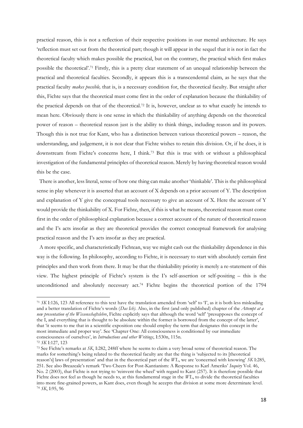practical reason, this is not a reflection of their respective positions in our mental architecture. He says 'reflection must set out from the theoretical part; though it will appear in the sequel that it is not in fact the theoretical faculty which makes possible the practical, but on the contrary, the practical which first makes possible the theoretical'.<sup>71</sup> Firstly, this is a pretty clear statement of an unequal relationship between the practical and theoretical faculties. Secondly, it appears this is a transcendental claim, as he says that the practical faculty *makes possible,* that is, is a necessary condition for, the theoretical faculty. But straight after this, Fichte says that the theoretical must come first in the order of explanation because the thinkability of the practical depends on that of the theoretical.<sup>72</sup> It is, however, unclear as to what exactly he intends to mean here. Obviously there is one sense in which the thinkability of anything depends on the theoretical power of reason – theoretical reason just is the ability to think things, including reason and its powers. Though this is not true for Kant, who has a distinction between various theoretical powers – reason, the understanding, and judgement, it is not clear that Fichte wishes to retain this division. Or, if he does, it is downstream from Fichte's concerns here, I think.<sup>73</sup> But this is true with or without a philosophical investigation of the fundamental principles of theoretical reason. Merely by having theoretical reason would this be the case.

 There is another, less literal, sense of how one thing can make another 'thinkable'. This is the philosophical sense in play whenever it is asserted that an account of X depends on a prior account of Y. The description and explanation of Y give the conceptual tools necessary to give an account of X. Here the account of Y would provide the thinkability of X. For Fichte, then, if this is what he means, theoretical reason must come first in the order of philosophical explanation because a correct account of the nature of theoretical reason and the I's acts insofar as they are theoretical provides the correct conceptual framework for analysing practical reason and the I's acts insofar as they are practical.

 A more specific, and characteristically Fichtean, way we might cash out the thinkability dependence in this way is the following. In philosophy, according to Fichte, it is necessary to start with absolutely certain first principles and then work from there. It may be that the thinkability priority is merely a re-statement of this view. The highest principle of Fichte's system is the I's self-assertion or self-positing – this is the unconditioned and absolutely necessary act.<sup>74</sup> Fichte begins the theoretical portion of the 1794

<sup>&</sup>lt;sup>71</sup> *SK* I:126, 123 All reference to this text have the translation amended from 'self' to T, as it is both less misleading and a better translation of Fichte's words (*Das Ich)*. Also, in the first (and only published) chapter of the *Attempt at a new presentation of the Wissenschaftslehre*, Fichte explicitly says that although the word 'self' 'presupposes the concept of the I, and everything that is thought to be absolute within the former is borrowed from the concept of the latter', that 'it seems to me that in a scientific exposition one should employ the term that designates this concept in the most immediate and proper way'. See 'Chapter One: All consciousness is conditioned by our immediate consciousness of ourselves', in *Introductions and other Writings*, I:530n, 115n.

<sup>72</sup> *SK* I:127, 123

<sup>73</sup> See Fichte's remarks at *SK*, I:282, 248ff where he seems to claim a very broad sense of theoretical reason. The marks for something's being related to the theoretical faculty are that the thing is 'subjected to its [theoretical reason's] laws of presentation' and that in the theoretical part of the *WL*, we are 'concerned with knowing' *SK* I:285, 251. See also Breazeale's remark 'Two Cheers for Post-Kantianism: A Response to Karl Ameriks' *Inquiry* Vol. 46, No. 2 (2003), that Fichte is not trying to 'reinvent the wheel' with regard to Kant (257). It is therefore possible that Fichte does not feel as though he needs to, at this fundamental stage in the *WL*, to divide the theoretical faculties into more fine-grained powers, as Kant does, even though he accepts that division at some more determinate level. <sup>74</sup> *SK*, I:95, 96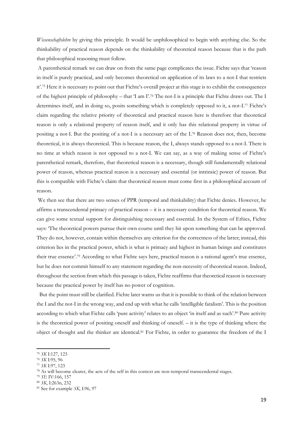*Wissenschaftslehre* by giving this principle. It would be unphilosophical to begin with anything else. So the thinkability of practical reason depends on the thinkability of theoretical reason because that is the path that philosophical reasoning must follow.

A parenthetical remark we can draw on from the same page complicates the issue. Fichte says that 'reason in itself is purely practical, and only becomes theoretical on application of its laws to a not-I that restricts it'. <sup>75</sup> Here it is necessary to point out that Fichte's overall project at this stage is to exhibit the consequences of the highest principle of philosophy – that 'I am I'.<sup>76</sup> The not-I is a principle that Fichte draws out. The I determines itself, and in doing so, posits something which is completely opposed to it, a not-I.<sup>77</sup> Fichte's claim regarding the relative priority of theoretical and practical reason here is therefore that theoretical reason is only a relational property of reason itself, and it only has this relational property in virtue of positing a not-I. But the positing of a not-I is a necessary act of the I. <sup>78</sup> Reason does not, then, become theoretical, it is always theoretical. This is because reason, the I, always stands opposed to a not-I. There is no time at which reason is not opposed to a not-I. We can say, as a way of making sense of Fichte's parenthetical remark, therefore, that theoretical reason is a necessary, though still fundamentally relational power of reason, whereas practical reason is a necessary and essential (or intrinsic) power of reason. But this is compatible with Fichte's claim that theoretical reason must come first in a philosophical account of reason.

We then see that there are two senses of PPR (temporal and thinkability) that Fichte denies. However, he affirms a transcendental primacy of practical reason – it is a necessary condition for theoretical reason. We can give some textual support for distinguishing necessary and essential. In the System of Ethics, Fichte says: 'The theoretical powers pursue their own course until they hit upon something that can be approved. They do not, however, contain within themselves any criterion for the correctness of the latter; instead, this criterion lies in the practical power, which is what is primacy and highest in human beings and constitutes their true essence'. <sup>79</sup> According to what Fichte says here, practical reason is a rational agent's true essence, but he does not commit himself to any statement regarding the non-necessity of theoretical reason. Indeed, throughout the section from which this passage is taken, Fichte reaffirms that theoretical reason is necessary because the practical power by itself has no power of cognition.

 But the point must still be clarified. Fichte later warns us that it is possible to think of the relation between the I and the not-I in the wrong way, and end up with what he calls 'intelligible fatalism'. This is the position according to which what Fichte calls 'pure activity' relates to an object 'in itself and as such'.<sup>80</sup> Pure activity is the theoretical power of positing oneself and thinking of oneself. – it is the type of thinking where the object of thought and the thinker are identical.<sup>81</sup> For Fichte, in order to guarantee the freedom of the I

<sup>75</sup> *SK* I:127, 123

<sup>76</sup> *SK* I:95, 96

<sup>77</sup> *SK* I:97, 123

<sup>78</sup> As will become clearer, the acts of the self in this context are non-temporal transcendental stages.

<sup>79</sup> *SE* IV:166, 157

<sup>80</sup> *SK*, I:263n, 232

<sup>81</sup> See for example *SK*, I:96, 97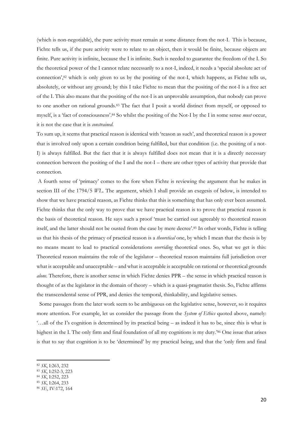(which is non-negotiable), the pure activity must remain at some distance from the not-I. This is because, Fichte tells us, if the pure activity were to relate to an object, then it would be finite, because objects are finite. Pure activity is infinite, because the I is infinite. Such is needed to guarantee the freedom of the I. So the theoretical power of the I cannot relate necessarily to a not-I, indeed, it needs a 'special absolute act of connection',<sup>82</sup> which is only given to us by the positing of the not-I, which happens, as Fichte tells us, absolutely, or without any ground; by this I take Fichte to mean that the positing of the not-I is a free act of the I. This also means that the positing of the not-I is an unprovable assumption, that nobody can prove to one another on rational grounds.<sup>83</sup> The fact that I posit a world distinct from myself, or opposed to myself, is a 'fact of consciousness'. <sup>84</sup> So whilst the positing of the Not-I by the I in some sense *must* occur, it is not the case that it is *constrained*.

To sum up, it seems that practical reason is identical with 'reason as such', and theoretical reason is a power that is involved only upon a certain condition being fulfilled, but that condition (i.e. the positing of a not-I) is always fulfilled. But the fact that it is always fulfilled does not mean that it is a directly necessary connection between the positing of the I and the not-I – there are other types of activity that provide that connection.

A fourth sense of 'primacy' comes to the fore when Fichte is reviewing the argument that he makes in section III of the 1794/5 *WL*. The argument, which I shall provide an exegesis of below, is intended to show that we have practical reason, as Fichte thinks that this is something that has only ever been assumed*.*  Fichte thinks that the only way to prove that we have practical reason is to prove that practical reason is the basis of theoretical reason. He says such a proof 'must be carried out agreeably to theoretical reason itself, and the latter should not be ousted from the case by mere decree'.<sup>85</sup> In other words, Fichte is telling us that his thesis of the primacy of practical reason is a *theoretical* one, by which I mean that the thesis is by no means meant to lead to practical considerations *overriding* theoretical ones. So, what we get is this: Theoretical reason maintains the role of the legislator – theoretical reason maintains full jurisdiction over what is acceptable and unacceptable – and what is acceptable is acceptable on rational or theoretical grounds *alone.* Therefore, there is another sense in which Fichte denies PPR – the sense in which practical reason is thought of as the legislator in the domain of theory – which is a quasi-pragmatist thesis. So, Fichte affirms the transcendental sense of PPR, and denies the temporal, thinkability, and legislative senses.

 Some passages from the later work seem to be ambiguous on the legislative sense, however, so it requires more attention. For example, let us consider the passage from the *System of Ethics* quoted above, namely: '…all of the I's cognition is determined by its practical being – as indeed it has to be, since this is what is highest in the I. The only firm and final foundation of all my cognitions is my duty.'<sup>86</sup> One issue that arises is that to say that cognition is to be 'determined' by my practical being, and that the 'only firm and final

- <sup>84</sup> *SK*, I:252, 223
- <sup>85</sup> *SK*, I:264, 233

<sup>82</sup> *SK*, I:263, 232

<sup>83</sup> *SK*, I:252-3, 223

<sup>86</sup> *SE*, IV:172, 164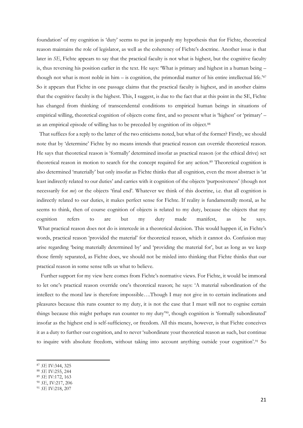foundation' of my cognition is 'duty' seems to put in jeopardy my hypothesis that for Fichte, theoretical reason maintains the role of legislator, as well as the coherency of Fichte's doctrine. Another issue is that later in *SE*, Fichte appears to say that the practical faculty is not what is highest, but the cognitive faculty is, thus reversing his position earlier in the text. He says: 'What is primary and highest in a human being – though not what is most noble in him – is cognition, the primordial matter of his entire intellectual life.<sup>'87</sup> So it appears that Fichte in one passage claims that the practical faculty is highest, and in another claims that the cognitive faculty is the highest. This, I suggest, is due to the fact that at this point in the SE, Fichte has changed from thinking of transcendental conditions to empirical human beings in situations of empirical willing, theoretical cognition of objects come first, and so present what is 'highest' or 'primary' – as an empirical episode of willing has to be preceded by cognition of its object.88

 That suffices for a reply to the latter of the two criticisms noted, but what of the former? Firstly, we should note that by 'determine' Fichte by no means intends that practical reason can override theoretical reason. He says that theoretical reason is 'formally' determined insofar as practical reason (or the ethical drive) set theoretical reason in motion to search for the concept required for any action.<sup>89</sup> Theoretical cognition is also determined 'materially' but only insofar as Fichte thinks that all cognition, even the most abstract is 'at least indirectly related to our duties' and carries with it cognition of the objects 'purposiveness' (though not necessarily for *me*) or the objects 'final end'. Whatever we think of this doctrine, i.e. that all cognition is indirectly related to our duties, it makes perfect sense for Fichte. If reality is fundamentally moral, as he seems to think, then of course cognition of objects is related to my duty, because the objects that my cognition refers to are but my duty made manifest, as he says. What practical reason does not do is intercede in a theoretical decision. This would happen if, in Fichte's words, practical reason 'provided the material' for theoretical reason, which it cannot do. Confusion may arise regarding 'being materially determined by' and 'providing the material for', but as long as we keep those firmly separated, as Fichte does, we should not be misled into thinking that Fichte thinks that our practical reason in some sense tells us what to believe.

 Further support for my view here comes from Fichte's normative views. For Fichte, it would be immoral to let one's practical reason override one's theoretical reason; he says: 'A material subordination of the intellect to the moral law is therefore impossible….Though I may not give in to certain inclinations and pleasures because this runs counter to my duty, it is not the case that I must will not to cognise certain things because this might perhaps run counter to my duty'90, though cognition is 'formally subordinated' insofar as the highest end is self-sufficiency, or freedom. All this means, however, is that Fichte conceives it as a duty to further our cognition, and to never 'subordinate your theoretical reason as such, but continue to inquire with absolute freedom, without taking into account anything outside your cognition'.<sup>91</sup> So

- <sup>88</sup> *SE* IV:255, 244
- <sup>89</sup> *SE* IV:172, 163
- <sup>90</sup> *SE*, IV:217, 206

<sup>87</sup> *SE* IV:344, 325

<sup>91</sup> *SE* IV:218, 207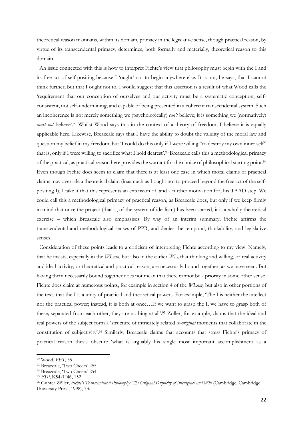theoretical reason maintains, within its domain, primacy in the legislative sense, though practical reason, by virtue of its transcendental primacy, determines, both formally and materially, theoretical reason to this domain.

 An issue connected with this is how to interpret Fichte's view that philosophy must begin with the I and its free act of self-positing because I 'ought' not to begin anywhere else. It is not, he says, that I cannot think further, but that I ought not to. I would suggest that this assertion is a result of what Wood calls the 'requirement that our conception of ourselves and our activity must be a systematic conception, selfconsistent, not self-undermining, and capable of being presented in a coherent transcendental system. Such an incoherence is not merely something we (psychologically) *can't* believe; it is something we (normatively) *must not* believe'. <sup>92</sup> Whilst Wood says this in the context of a theory of freedom, I believe it is equally applicable here. Likewise, Breazeale says that I have the ability to doubt the validity of the moral law and question my belief in my freedom, but 'I could do this only if I were willing "to destroy my own inner self" that is, only if I were willing to sacrifice what I hold dearest'.<sup>93</sup> Breazeale calls this a methodological primacy of the practical, as practical reason here provides the warrant for the choice of philosophical starting point.<sup>94</sup> Even though Fichte does seem to claim that there is at least one case in which moral claims or practical claims may override a theoretical claim (inasmuch as I ought not to proceed beyond the free act of the selfpositing I), I take it that this represents an extension of, and a further motivation for, his TAAD step. We could call this a methodological primacy of practical reason, as Breazeale does, but only if we keep firmly in mind that once the project (that is, of the system of idealism) has been started, it is a wholly theoretical exercise – which Breazeale also emphasises. By way of an interim summary, Fichte affirms the transcendental and methodological senses of PPR, and denies the temporal, thinkability, and legislative senses.

 Consideration of these points leads to a criticism of interpreting Fichte according to my view. Namely, that he insists, especially in the *WLnm*, but also in the earlier *WL*, that thinking and willing, or real activity and ideal activity, or theoretical and practical reason, are necessarily bound together, as we have seen. But having them necessarily bound together does not mean that there cannot be a priority in some other sense. Fichte does claim at numerous points, for example in section 4 of the *WLnm,* but also in other portions of the text, that the I is a unity of practical and theoretical powers. For example, 'The I is neither the intellect nor the practical power; instead, it is both at once…If we want to grasp the I, we have to grasp both of these; separated from each other, they are nothing at all'. <sup>95</sup> Zöller, for example, claims that the ideal and real powers of the subject form a 'structure of intricately related *co-original* moments that collaborate in the constitution of subjectivity'.<sup>96</sup> Similarly, Breazeale claims that accounts that stress Fichte's primacy of practical reason thesis obscure 'what is arguably his single most important accomplishment as a

<sup>92</sup> Wood, *FET*, 35

<sup>93</sup> Breazeale, 'Two Cheers' 255

<sup>94</sup> Breazeale, 'Two Cheers' 254

<sup>95</sup> *FTP*, K54/H46, 152

<sup>96</sup> Gunter Zöller, *Fichte's Transcendental Philosophy: The Original Duplicity of Intelligence and Will* (Cambridge, Cambridge University Press, 1998), 73.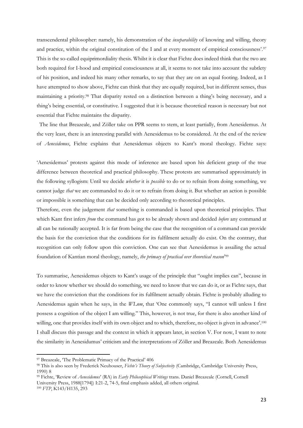transcendental philosopher: namely, his demonstration of the *inseparability* of knowing and willing, theory and practice, within the original constitution of the I and at every moment of empirical consciousness'.<sup>97</sup> This is the so-called equiprimordiality thesis. Whilst it is clear that Fichte does indeed think that the two are both required for I-hood and empirical consciousness at all, it seems to not take into account the subtlety of his position, and indeed his many other remarks, to say that they are on an equal footing. Indeed, as I have attempted to show above, Fichte can think that they are equally required, but in different senses, thus maintaining a priority.<sup>98</sup> That disparity rested on a distinction between a thing's being necessary, and a thing's being essential, or constitutive. I suggested that it is because theoretical reason is necessary but not essential that Fichte maintains the disparity.

 The line that Breazeale, and Zöller take on PPR seems to stem, at least partially, from Aenesidemus. At the very least, there is an interesting parallel with Aenesidemus to be considered. At the end of the review of *Aenesidemus*, Fichte explains that Aenesidemus objects to Kant's moral theology. Fichte says:

'Aenesidemus' protests against this mode of inference are based upon his deficient grasp of the true difference between theoretical and practical philosophy. These protests are summarised approximately in the following syllogism: Until we decide *whether* it is *possible* to do or to refrain from doing something, we cannot judge *that* we are commanded to do it or to refrain from doing it. But whether an action is possible or impossible is something that can be decided only according to theoretical principles.

Therefore, even the judgement *that* something is commanded is based upon theoretical principles. That which Kant first infers *from* the command has got to be already shown and decided *before* any command at all can be rationally accepted. It is far from being the case that the recognition of a command can provide the basis for the conviction that the conditions for its fulfilment actually do exist. On the contrary, that recognition can only follow upon this conviction. One can see that Aenesidemus is assailing the actual foundation of Kantian moral theology, namely, the primacy of practical over theoretical reason<sup>299</sup>

To summarise, Aenesidemus objects to Kant's usage of the principle that "ought implies can", because in order to know whether we should do something, we need to know that we can do it, or as Fichte says, that we have the conviction that the conditions for its fulfilment actually obtain. Fichte is probably alluding to Aenesidemus again when he says, in the *WLnm*, that 'One commonly says, "I cannot will unless I first possess a cognition of the object I am willing." This, however, is not true, for there is also another kind of willing, one that provides itself with its own object and to which, therefore, no object is given in advance'.<sup>100</sup> I shall discuss this passage and the context in which it appears later, in section V. For now, I want to note the similarity in Aenesidumus' criticism and the interpretations of Zöller and Breazeale. Both Aenesidemus

<sup>97</sup> Breazeale, 'The Problematic Primacy of the Practical' 406

<sup>98</sup> This is also seen by Frederick Neuhouser, *Fichte's Theory of Subjectivity* (Cambridge, Cambridge University Press, 1990) 8

<sup>99</sup> Fichte, 'Review of *Aenesidemus*' (RA) in *Early Philosophical Writings* trans. Daniel Breazeale (Cornell, Cornell University Press, 1988[1794]) I:21-2, 74-5, final emphasis added, all others original. <sup>100</sup> *FTP*, K143/H135, 293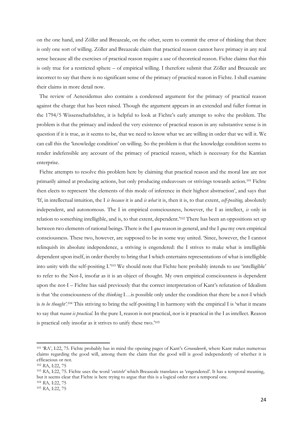on the one hand, and Zöller and Breazeale, on the other, seem to commit the error of thinking that there is only one sort of willing. Zöller and Breazeale claim that practical reason cannot have primacy in any real sense because all the exercises of practical reason require a use of theoretical reason. Fichte claims that this is only true for a restricted sphere – of empirical willing. I therefore submit that Zöller and Breazeale are incorrect to say that there is no significant sense of the primacy of practical reason in Fichte. I shall examine their claims in more detail now.

 The review of Aenesidemus also contains a condensed argument for the primacy of practical reason against the charge that has been raised. Though the argument appears in an extended and fuller format in the 1794/5 Wissenschaftslehre, it is helpful to look at Fichte's early attempt to solve the problem. The problem is that the primacy and indeed the very existence of practical reason in any substantive sense is in question if it is true, as it seems to be, that we need to know what we are willing in order that we will it. We can call this the 'knowledge condition' on willing. So the problem is that the knowledge condition seems to render indefensible any account of the primacy of practical reason, which is necessary for the Kantian enterprise.

 Fichte attempts to resolve this problem here by claiming that practical reason and the moral law are not primarily aimed at producing actions, but only producing endeavours or strivings towards action.<sup>101</sup> Fichte then elects to represent 'the elements of this mode of inference in their highest abstraction', and says that 'If, in intellectual intuition, the I *is because* it is and *is what* it is, then it is, to that extent, *self-positing,* absolutely independent, and autonomous. The I in empirical consciousness, however, the I as intellect, *is* only in relation to something intelligible, and is, to that extent, dependent.'<sup>102</sup> There has been an oppositions set up between two elements of rational beings. There is the I *qua* reason in general, and the I *qua* my own empirical consciousness. These two, however, are supposed to be in some way united. 'Since, however, the I cannot relinquish its absolute independence, a striving is engendered: the I strives to make what is intelligible dependent upon itself, in order thereby to bring that I which entertains representations of what is intelligible into unity with the self-positing I.'<sup>103</sup> We should note that Fichte here probably intends to use 'intelligible' to refer to the Not-I, insofar as it is an object of thought. My own empirical consciousness is dependent upon the not-I – Fichte has said previously that the correct interpretation of Kant's refutation of Idealism is that 'the consciousness of the *thinking* I…is possible only under the condition that there be a not-I which is *to be thought'*. <sup>104</sup> This striving to bring the self-positing I in harmony with the empirical I is 'what it means to say that *reason is practical*. In the pure I, reason is not practical, nor is it practical in the I as intellect. Reason is practical only insofar as it strives to unify these two.'<sup>105</sup>

<sup>101</sup> 'RA', I:22, 75. Fichte probably has in mind the opening pages of Kant's *Groundwork*, where Kant makes numerous claims regarding the good will, among them the claim that the good will is good independently of whether it is efficacious or not.

<sup>102</sup> *R*A, I:22, 75

<sup>103</sup> *R*A, I:22, 75. Fichte uses the word '*entsteht'* which Breazeale translates as 'engendered'. It has a temporal meaning, but it seems clear that Fichte is here trying to argue that this is a logical order not a temporal one.

<sup>104</sup> *R*A*,* I:22, 75

<sup>105</sup> *R*A, I:22, 75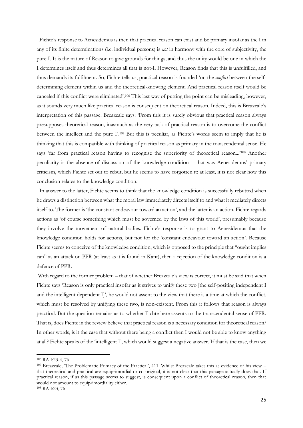Fichte's response to Aenesidemus is then that practical reason can exist and be primary insofar as the I in any of its finite determinations (i.e. individual persons) is *not* in harmony with the core of subjectivity, the pure I. It is the nature of Reason to give grounds for things, and thus the unity would be one in which the I determines itself and thus determines all that is not-I. However, Reason finds that this is unfulfilled, and thus demands its fulfilment. So, Fichte tells us, practical reason is founded 'on the *conflict* between the selfdetermining element within us and the theoretical-knowing element. And practical reason itself would be canceled if this conflict were eliminated'.<sup>106</sup> This last way of putting the point can be misleading, however, as it sounds very much like practical reason is consequent on theoretical reason. Indeed, this is Breazeale's interpretation of this passage. Breazeale says: 'From this it is surely obvious that practical reason always presupposes theoretical reason, inasmuch as the very task of practical reason is to overcome the conflict between the intellect and the pure I'. <sup>107</sup> But this is peculiar, as Fichte's words seem to imply that he is thinking that this is compatible with thinking of practical reason as primary in the transcendental sense. He says 'far from practical reason having to recognise the superiority of theoretical reason...'<sup>108</sup> Another peculiarity is the absence of discussion of the knowledge condition – that was Aenesidemus' primary criticism, which Fichte set out to rebut, but he seems to have forgotten it; at least, it is not clear how this conclusion relates to the knowledge condition.

 In answer to the latter, Fichte seems to think that the knowledge condition is successfully rebutted when he draws a distinction between what the moral law immediately directs itself to and what it mediately directs itself to. The former is 'the constant endeavour toward an action', and the latter is an action. Fichte regards actions as 'of course something which must be governed by the laws of this world', presumably because they involve the movement of natural bodies. Fichte's response is to grant to Aenesidemus that the knowledge condition holds for actions, but not for the 'constant endeavour toward an action'. Because Fichte seems to conceive of the knowledge condition, which is opposed to the principle that "ought implies can" as an attack on PPR (at least as it is found in Kant), then a rejection of the knowledge condition is a defence of PPR.

With regard to the former problem – that of whether Breazeale's view is correct, it must be said that when Fichte says 'Reason is only practical insofar as it strives to unify these two [the self-positing independent I and the intelligent dependent I]', he would not assent to the view that there is a time at which the conflict, which must be resolved by unifying these two, is non-existent. From this it follows that reason is always practical. But the question remains as to whether Fichte here assents to the transcendental sense of PPR. That is, does Fichte in the review believe that practical reason is a necessary condition for theoretical reason? In other words, is it the case that without there being a conflict then I would not be able to know anything at all? Fichte speaks of the 'intelligent I', which would suggest a negative answer. If that is the case, then we

<sup>106</sup> RA I:23-4, 76

<sup>107</sup> Breazeale, 'The Problematic Primacy of the Practical', 411. Whilst Breazeale takes this as evidence of his view – that theoretical and practical are equiprimordial or co-original, it is not clear that this passage actually does that. If practical reason, if as this passage seems to suggest, is consequent upon a conflict of theoretical reason, then that would not amount to equiprimordiality either.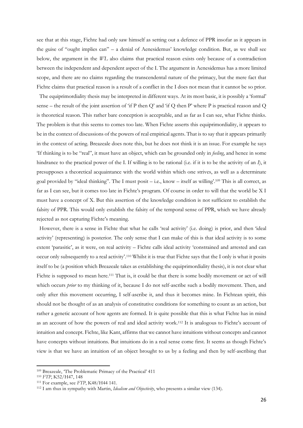see that at this stage, Fichte had only saw himself as setting out a defence of PPR insofar as it appears in the guise of "ought implies can" – a denial of Aenesidemus' knowledge condition. But, as we shall see below, the argument in the *WL* also claims that practical reason exists only because of a contradiction between the independent and dependent aspect of the I. The argument in Aenesidemus has a more limited scope, and there are no claims regarding the transcendental nature of the primacy, but the mere fact that Fichte claims that practical reason is a result of a conflict in the I does not mean that it cannot be so prior.

 The equiprimordiality thesis may be interpreted in different ways. At its most basic, it is possibly a 'formal' sense – the result of the joint assertion of 'if P then Q' and 'if Q then P' where P is practical reason and Q is theoretical reason. This rather bare conception is acceptable, and as far as I can see, what Fichte thinks. The problem is that this seems to comes too late. When Fichte asserts this equiprimordiality, it appears to be in the context of discussions of the powers of real empirical agents. That is to say that it appears primarily in the context of acting. Breazeale does note this, but he does not think it is an issue. For example he says 'If thinking is to be "real", it must have an object, which can be grounded only in *feeling*, and hence in some hindrance to the practical power of the I. If willing is to be rational (i.e. if it is to be the activity of an *I*), it presupposes a theoretical acquaintance with the world within which one strives, as well as a determinate goal provided by "ideal thinking". The I must posit – i.e., know – itself as willing'. <sup>109</sup> This is all correct, as far as I can see, but it comes too late in Fichte's program. Of course in order to will that the world be X I must have a concept of X. But this assertion of the knowledge condition is not sufficient to establish the falsity of PPR. This would only establish the falsity of the temporal sense of PPR, which we have already rejected as not capturing Fichte's meaning.

 However, there is a sense in Fichte that what he calls 'real activity' (i.e. doing) is prior, and then 'ideal activity' (representing) is posterior. The only sense that I can make of this is that ideal activity is to some extent 'parasitic', as it were, on real activity – Fichte calls ideal activity 'constrained and arrested and can occur only subsequently to a real activity'. <sup>110</sup> Whilst it is true that Fichte says that the I only is what it posits itself to be (a position which Breazeale takes as establishing the equiprimordiality thesis), it is not clear what Fichte is supposed to mean here.<sup>111</sup> That is, it could be that there is some bodily movement or act of will which occurs *prior* to my thinking of it, because I do not self-ascribe such a bodily movement. Then, and only after this movement occurring, I self-ascribe it, and thus it becomes mine. In Fichtean spirit, this should not be thought of as an analysis of constitutive conditions for something to count as an action, but rather a genetic account of how agents are formed. It is quite possible that this is what Fichte has in mind as an account of how the powers of real and ideal activity work.<sup>112</sup> It is analogous to Fichte's account of intuition and concept. Fichte, like Kant, affirms that we cannot have intuitions without concepts and cannot have concepts without intuitions. But intuitions do in a real sense come first. It seems as though Fichte's view is that we have an intuition of an object brought to us by a feeling and then by self-ascribing that

<sup>109</sup> Breazeale, 'The Problematic Primacy of the Practical' 411

<sup>110</sup> *FTP*, K52/H47, 148

<sup>111</sup> For example, see *FTP*, K48/H44 141.

<sup>112</sup> I am thus in sympathy with Martin, *Idealism and Objectivity*, who presents a similar view (134).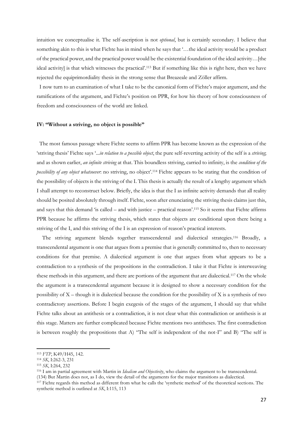intuition we conceptualise it. The self-ascription is not *optional*, but is certainly secondary. I believe that something akin to this is what Fichte has in mind when he says that '…the ideal activity would be a product of the practical power, and the practical power would be the existential foundation of the ideal activity…[the ideal activity] is that which witnesses the practical'. <sup>113</sup> But if something like this is right here, then we have rejected the equiprimordiality thesis in the strong sense that Breazeale and Zöller affirm.

 I now turn to an examination of what I take to be the canonical form of Fichte's major argument, and the ramifications of the argument, and Fichte's position on PPR, for how his theory of how consciousness of freedom and consciousness of the world are linked.

### **IV: "Without a striving, no object is possible"**

 The most famous passage where Fichte seems to affirm PPR has become known as the expression of the 'striving thesis' Fichte says '...*in relation to a possible object*, the pure self-reverting activity of the self is a *striving*; and as shown earlier, *an infinite striving* at that. This boundless striving, carried to infinity, is the *condition of the possibility of any object whatsoever*: no striving, no object'. <sup>114</sup> Fichte appears to be stating that the condition of the possibility of objects is the striving of the I. This thesis is actually the result of a lengthy argument which I shall attempt to reconstruct below. Briefly, the idea is that the I as infinite activity demands that all reality should be posited absolutely through itself. Fichte, soon after enunciating the striving thesis claims just this, and says that this demand 'is called – and with justice – practical reason'.<sup>115</sup> So it seems that Fichte affirms PPR because he affirms the striving thesis, which states that objects are conditional upon there being a striving of the I, and this striving of the I is an expression of reason's practical interests.

The striving argument blends together transcendental and dialectical strategies.<sup>116</sup> Broadly, a transcendental argument is one that argues from a premise that is generally committed to, then to necessary conditions for that premise. A dialectical argument is one that argues from what appears to be a contradiction to a synthesis of the propositions in the contradiction. I take it that Fichte is interweaving these methods in this argument, and there are portions of the argument that are dialectical.<sup>117</sup> On the whole the argument is a transcendental argument because it is designed to show a necessary condition for the possibility of X – though it is dialectical because the condition for the possibility of X is a synthesis of two contradictory assertions. Before I begin exegesis of the stages of the argument, I should say that whilst Fichte talks about an antithesis or a contradiction, it is not clear what this contradiction or antithesis is at this stage. Matters are further complicated because Fichte mentions two antitheses. The first contradiction is between roughly the propositions that A) "The self is independent of the not-I" and B) "The self is

<sup>113</sup> *FTP*, K49/H45, 142.

<sup>114</sup> *SK*, I:262-3, 231

<sup>115</sup> *SK*, I:264, 232

<sup>116</sup> I am in partial agreement with Martin in *Idealism and Objectivity*, who claims the argument to be transcendental. (134) But Martin does not, as I do, view the detail of the arguments for the major transitions as dialectical.

<sup>117</sup> Fichte regards this method as different from what he calls the 'synthetic method' of the theoretical sections. The synthetic method is outlined at *SK*, I:115, 113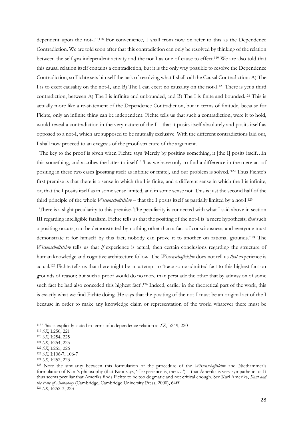dependent upon the not-I".<sup>118</sup> For convenience, I shall from now on refer to this as the Dependence Contradiction. We are told soon after that this contradiction can only be resolved by thinking of the relation between the self *qua* independent activity and the not-I as one of cause to effect.<sup>119</sup> We are also told that this causal relation itself contains a contradiction, but it is the only way possible to resolve the Dependence Contradiction, so Fichte sets himself the task of resolving what I shall call the Causal Contradiction: A) The I is to exert causality on the not-I, and B) The I can exert no causality on the not-I.<sup>120</sup> There is yet a third contradiction, between A) The I is infinite and unbounded, and B) The I is finite and bounded.<sup>121</sup> This is actually more like a re-statement of the Dependence Contradiction, but in terms of finitude, because for Fichte, only an infinite thing can be independent. Fichte tells us that such a contradiction, were it to hold, would reveal a contradiction in the very nature of the I – that it posits itself absolutely and posits itself as opposed to a not-I, which are supposed to be mutually exclusive. With the different contradictions laid out, I shall now proceed to an exegesis of the proof-structure of the argument.

The key to the proof is given when Fichte says 'Merely by positing something, it [the I] posits itself...in this something, and ascribes the latter to itself. Thus we have only to find a difference in the mere act of positing in these two cases [positing itself as infinite or finite], and our problem is solved.'<sup>122</sup> Thus Fichte's first premise is that there is a sense in which the I is finite, and a different sense in which the I is infinite, or, that the I posits itself as in some sense limited, and in some sense not. This is just the second half of the third principle of the whole *Wissenschaftslehre* – that the I posits itself as partially limited by a not-I.<sup>123</sup>

 There is a slight peculiarity to this premise. The peculiarity is connected with what I said above in section III regarding intelligible fatalism. Fichte tells us that the positing of the not-I is 'a mere hypothesis; *that* such a positing occurs, can be demonstrated by nothing other than a fact of consciousness, and everyone must demonstrate it for himself by this fact; nobody can prove it to another on rational grounds.'<sup>124</sup> The *Wissenschaftslehre* tells us that *if* experience is actual, then certain conclusions regarding the structure of human knowledge and cognitive architecture follow. The *Wissenschaftslehre* does not tell us *that* experience is actual.<sup>125</sup> Fichte tells us that there might be an attempt to 'trace some admitted fact to this highest fact on grounds of reason; but such a proof would do no more than persuade the other that by admission of some such fact he had also conceded this highest fact'.<sup>126</sup> Indeed, earlier in the theoretical part of the work, this is exactly what we find Fichte doing. He says that the positing of the not-I must be an original act of the I because in order to make any knowledge claim or representation of the world whatever there must be

<sup>118</sup> This is explicitly stated in terms of a dependence relation at *SK*, I:249, 220

<sup>119</sup> *SK*, I:250, 221

<sup>120</sup> *SK*, I:254, 225

<sup>121</sup> *SK*, I:254, 225

<sup>122</sup> *SK*, I:255, 226

<sup>123</sup> *SK,* I:106-7, 106-7

<sup>124</sup> *SK*, I:252, 223

<sup>125</sup> Note the similarity between this formulation of the procedure of the *Wissenschaftslehre* and Niethammer's formulation of Kant's philosophy (that Kant says, 'if experience is, then…') – that Ameriks is very sympathetic to. It thus seems peculiar that Ameriks finds Fichte to be too dogmatic and not critical enough. See Karl Ameriks, *Kant and the Fate of Autonomy* (Cambridge, Cambridge University Press, 2000), 64ff <sup>126</sup> *SK*, I:252-3, 223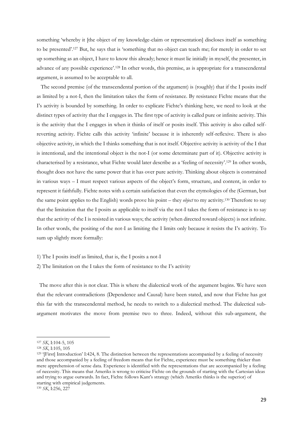something 'whereby it [the object of my knowledge-claim or representation] discloses itself as something to be presented'.<sup>127</sup> But, he says that is 'something that no object can teach me; for merely in order to set up something as an object, I have to know this already; hence it must lie initially in myself, the presenter, in advance of any possible experience'.<sup>128</sup> In other words, this premise, as is appropriate for a transcendental argument, is assumed to be acceptable to all.

 The second premise (of the transcendental portion of the argument) is (roughly) that if the I posits itself as limited by a not-I, then the limitation takes the form of resistance. By resistance Fichte means that the I's activity is bounded by something. In order to explicate Fichte's thinking here, we need to look at the distinct types of activity that the I engages in. The first type of activity is called pure or infinite activity. This is the activity that the I engages in when it thinks of itself or posits itself. This activity is also called selfreverting activity. Fichte calls this activity 'infinite' because it is inherently self-reflexive. There is also objective activity, in which the I thinks something that is not itself. Objective activity is activity of the I that is intentional, and the intentional object is the not-I (or some determinate part of it). Objective activity is characterised by a resistance, what Fichte would later describe as a 'feeling of necessity'. <sup>129</sup> In other words, thought does not have the same power that it has over pure activity. Thinking about objects is constrained in various ways – I must respect various aspects of the object's form, structure, and content, in order to represent it faithfully. Fichte notes with a certain satisfaction that even the etymologies of the (German, but the same point applies to the English) words prove his point – they *object* to my activity.<sup>130</sup> Therefore to say that the limitation that the I posits as applicable to itself via the not-I takes the form of resistance is to say that the activity of the I is resisted in various ways; the activity (when directed toward objects) is not infinite. In other words, the positing of the not-I as limiting the I limits only because it resists the I's activity. To sum up slightly more formally:

1) The I posits itself as limited, that is, the I posits a not-I

2) The limitation on the I takes the form of resistance to the I's activity

 The move after this is not clear. This is where the dialectical work of the argument begins. We have seen that the relevant contradictions (Dependence and Causal) have been stated, and now that Fichte has got this far with the transcendental method, he needs to switch to a dialectical method. The dialectical subargument motivates the move from premise two to three. Indeed, without this sub-argument, the

<sup>127</sup> *SK*, I:104-5, 105

<sup>128</sup> *SK*, I:105, 105

<sup>&</sup>lt;sup>129</sup> '[First] Introduction' I:424, 8. The distinction between the representations accompanied by a feeling of necessity and those accompanied by a feeling of freedom means that for Fichte, experience must be something thicker than mere apprehension of sense data. Experience is identified with the representations that are accompanied by a feeling of necessity. This means that Ameriks is wrong to criticise Fichte on the grounds of starting with the Cartesian ideas and trying to argue outwards. In fact, Fichte follows Kant's strategy (which Ameriks thinks is the superior) of starting with empirical judgements.

<sup>130</sup> *SK*, I:256, 227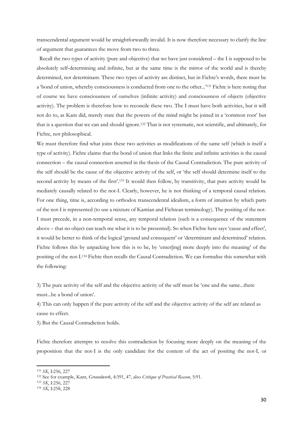transcendental argument would be straightforwardly invalid. It is now therefore necessary to clarify the line of argument that guarantees the move from two to three.

 Recall the two types of activity (pure and objective) that we have just considered – the I is supposed to be absolutely self-determining and infinite, but at the same time is the mirror of the world and is thereby determined, not determinant. These two types of activity are distinct, but in Fichte's words, there must be a 'bond of union, whereby consciousness is conducted from one to the other...'<sup>131</sup> Fichte is here noting that of course we have consciousness of ourselves (infinite activity) and consciousness of objects (objective activity). The problem is therefore how to reconcile these two. The I must have both activities, but it will not do to, as Kant did, merely state that the powers of the mind might be joined in a 'common root' but that is a question that we can and should ignore.<sup>132</sup> That is not systematic, not scientific, and ultimately, for Fichte, not philosophical.

We must therefore find what joins these two activities as modifications of the same self (which is itself a type of activity). Fichte claims that the bond of union that links the finite and infinite activities is the causal connection – the causal connection asserted in the thesis of the Causal Contradiction. The pure activity of the self should be the cause of the objective activity of the self, or 'the self should determine itself to the second activity by means of the first'.<sup>133</sup> It would then follow, by transitivity, that pure activity would be mediately causally related to the not-I. Clearly, however, he is not thinking of a temporal causal relation. For one thing, time is, according to orthodox transcendental idealism, a form of intuition by which parts of the not-I is represented (to use a mixture of Kantian and Fichtean terminology). The positing of the not-I must precede, in a non-temporal sense, any temporal relation (such is a consequence of the statement above – that no object can teach me what it is to be presented). So when Fichte here says 'cause and effect', it would be better to think of the logical 'ground and consequent' or 'determinant and determined' relation. Fichte follows this by unpacking how this is to be, by 'enter[ing] more deeply into the meaning' of the positing of the not-I.<sup>134</sup> Fichte then recalls the Causal Contradiction. We can formalise this somewhat with the following:

3) The pure activity of the self and the objective activity of the self must be 'one and the same...there must...be a bond of union'.

4) This can only happen if the pure activity of the self and the objective activity of the self are related as cause to effect.

5) But the Causal Contradiction holds.

Fichte therefore attempts to resolve this contradiction by focusing more deeply on the meaning of the proposition that the not-I is the only candidate for the content of the act of positing the not-I, or

<sup>131</sup> *SK*, I:256, 227

<sup>132</sup> See for example, Kant, *Groundwork*, 4:391, 47, also *Critique of Practical Reason*, 5:91.

<sup>133</sup> *SK*, I:256, 227

<sup>134</sup> *SK*, I:258, 228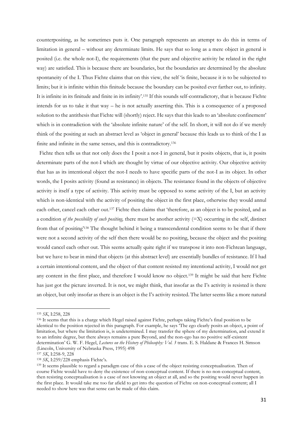counterpositing, as he sometimes puts it. One paragraph represents an attempt to do this in terms of limitation in general – without any determinate limits. He says that so long as a mere object in general is posited (i.e. the whole not-I), the requirements (that the pure and objective activity be related in the right way) are satisfied. This is because there are boundaries, but the boundaries are determined by the absolute spontaneity of the I. Thus Fichte claims that on this view, the self 'is finite, because it is to be subjected to limits; but it is infinite within this finitude because the boundary can be posited ever farther out, to infinity. It is infinite in its finitude and finite in its infinity'.<sup>135</sup> If this sounds self-contradictory, that is because Fichte intends for us to take it that way – he is not actually asserting this. This is a consequence of a proposed solution to the antithesis that Fichte will (shortly) reject. He says that this leads to an 'absolute confinement' which is in contradiction with the 'absolute infinite nature' of the self. In short, it will not do if we merely think of the positing at such an abstract level as 'object in general' because this leads us to think of the I as finite and infinite in the same senses, and this is contradictory.<sup>136</sup>

 Fichte then tells us that not only does the I posit a not-I in general, but it posits objects, that is, it posits determinate parts of the not-I which are thought by virtue of our objective activity. Our objective activity that has as its intentional object the not-I needs to have specific parts of the not-I as its object. In other words, the I posits activity (found as resistance) in objects. The resistance found in the objects of objective activity is itself a type of activity. This activity must be opposed to some activity of the I, but an activity which is non-identical with the activity of positing the object in the first place, otherwise they would annul each other, cancel each other out.<sup>137</sup> Fichte then claims that 'therefore, as an object is to be posited, and as a condition *of the possibility of such positing,* there must be another activity (=X) occurring in the self, distinct from that of positing'<sup>138</sup> The thought behind it being a transcendental condition seems to be that if there were not a second activity of the self then there would be no positing, because the object and the positing would cancel each other out. This seems actually quite right if we transpose it into non-Fichtean language, but we have to bear in mind that objects (at this abstract level) are essentially bundles of resistance. If I had a certain intentional content, and the object of that content resisted my intentional activity, I would not get any content in the first place, and therefore I would know no object.<sup>139</sup> It might be said that here Fichte has just got the picture inverted. It is not, we might think, that insofar as the I's activity is resisted is there an object, but only insofar as there is an object is the I's activity resisted. The latter seems like a more natural

1

<sup>135</sup> *SK*, I:258, 228

<sup>136</sup> It seems that this is a charge which Hegel raised against Fichte, perhaps taking Fichte's final position to be identical to the position rejected in this paragraph. For example, he says 'The ego clearly posits an object, a point of limitation, but where the limitation is, is undetermined. I may transfer the sphere of my determination, and extend it to an infinite degree, but there always remains a pure Beyond, and the non-ego has no positive self-existent determination' G. W. F. Hegel, *Lectures on the History of Philosophy: Vol. 3* trans. E. S. Haldane & Frances H. Simson (Lincoln, University of Nebraska Press, 1995) 498

<sup>137</sup> *SK*, I:258-9, 228

<sup>138</sup> *SK*, I:259/228 emphasis Fichte's.

<sup>&</sup>lt;sup>139</sup> It seems plausible to regard a paradigm case of this a case of the object resisting conceptualisation. Then of course Fichte would have to deny the existence of non-conceptual content. If there is no non-conceptual content, then resisting conceptualisation is a case of not knowing an object at all, and so the positing would never happen in the first place. It would take me too far afield to get into the question of Fichte on non-conceptual content; all I needed to show here was that sense can be made of this claim.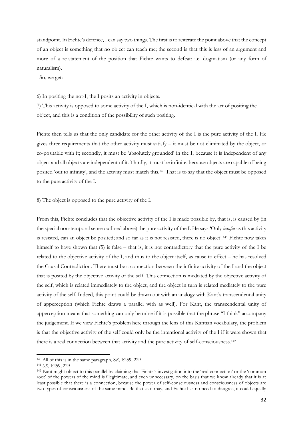standpoint. In Fichte's defence, I can say two things. The first is to reiterate the point above that the concept of an object is something that no object can teach me; the second is that this is less of an argument and more of a re-statement of the position that Fichte wants to defeat: i.e. dogmatism (or any form of naturalism).

So, we get:

6) In positing the not-I, the I posits an activity in objects.

7) This activity is opposed to some activity of the I, which is non-identical with the act of positing the object, and this is a condition of the possibility of such positing.

Fichte then tells us that the only candidate for the other activity of the I is the pure activity of the I. He gives three requirements that the other activity must satisfy – it must be not eliminated by the object, or co-positable with it; secondly, it must be 'absolutely grounded' in the I, because it is independent of any object and all objects are independent of it. Thirdly, it must be infinite, because objects are capable of being posited 'out to infinity', and the activity must match this.<sup>140</sup> That is to say that the object must be opposed to the pure activity of the I.

8) The object is opposed to the pure activity of the I.

From this, Fichte concludes that the objective activity of the I is made possible by, that is, is caused by (in the special non-temporal sense outlined above) the pure activity of the I. He says 'Only *insofar* as this activity is resisted, can an object be posited; and so far as it is not resisted, there is no object'.<sup>141</sup> Fichte now takes himself to have shown that (5) is false – that is, it is not contradictory that the pure activity of the I be related to the objective activity of the I, and thus to the object itself, as cause to effect – he has resolved the Causal Contradiction. There must be a connection between the infinite activity of the I and the object that is posited by the objective activity of the self. This connection is mediated by the objective activity of the self, which is related immediately to the object, and the object in turn is related mediately to the pure activity of the self. Indeed, this point could be drawn out with an analogy with Kant's transcendental unity of apperception (which Fichte draws a parallel with as well). For Kant, the transcendental unity of apperception means that something can only be mine if it is possible that the phrase "I think" accompany the judgement. If we view Fichte's problem here through the lens of this Kantian vocabulary, the problem is that the objective activity of the self could only be the intentional activity of the I if it were shown that there is a real connection between that activity and the pure activity of self-consciousness.<sup>142</sup>

<sup>140</sup> All of this is in the same paragraph, S*K,* I:259, 229

<sup>141</sup> *SK*, I:259, 229

<sup>&</sup>lt;sup>142</sup> Kant might object to this parallel by claiming that Fichte's investigation into the 'real connection' or the 'common root' of the powers of the mind is illegitimate, and even unnecessary, on the basis that we know already that it is at least possible that there is a connection, because the power of self-consciousness and consciousness of objects are two types of consciousness of the same mind. Be that as it may, and Fichte has no need to disagree, it could equally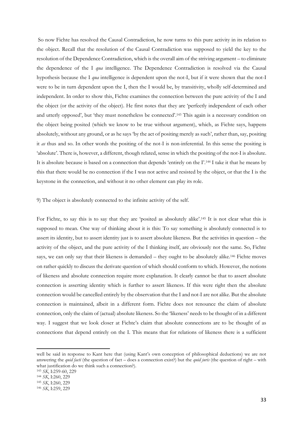So now Fichte has resolved the Causal Contradiction, he now turns to this pure activity in its relation to the object. Recall that the resolution of the Causal Contradiction was supposed to yield the key to the resolution of the Dependence Contradiction, which is the overall aim of the striving argument – to eliminate the dependence of the I *qua* intelligence. The Dependence Contradiction is resolved via the Causal hypothesis because the I *qua* intelligence is dependent upon the not-I, but if it were shown that the not-I were to be in turn dependent upon the I, then the I would be, by transitivity, wholly self-determined and independent. In order to show this, Fichte examines the connection between the pure activity of the I and the object (or the activity of the object). He first notes that they are 'perfectly independent of each other and utterly opposed', but 'they must nonetheless be connected'. <sup>143</sup> This again is a necessary condition on the object being posited (which we know to be true without argument), which, as Fichte says, happens absolutely, without any ground, or as he says 'by the act of positing merely as such', rather than, say, positing it *as* thus and so. In other words the positing of the not-I is non-inferential. In this sense the positing is 'absolute'. There is, however, a different, though related, sense in which the positing of the not-I is absolute. It is absolute because is based on a connection that depends 'entirely on the I'.<sup>144</sup> I take it that he means by this that there would be no connection if the I was not active and resisted by the object, or that the I is the keystone in the connection, and without it no other element can play its role.

9) The object is absolutely connected to the infinite activity of the self.

For Fichte, to say this is to say that they are 'posited as absolutely alike'.<sup>145</sup> It is not clear what this is supposed to mean. One way of thinking about it is this: To say something is absolutely connected is to assert its identity, but to assert identity just is to assert absolute likeness. But the activities in question – the activity of the object, and the pure activity of the I thinking itself, are obviously not the same. So, Fichte says, we can only say that their likeness is demanded – they ought to be absolutely alike.<sup>146</sup> Fichte moves on rather quickly to discuss the derivate question of which should conform to which. However, the notions of likeness and absolute connection require more explanation. It clearly cannot be that to assert absolute connection is asserting identity which is further to assert likeness. If this were right then the absolute connection would be cancelled entirely by the observation that the I and not-I are not alike. But the absolute connection is maintained, albeit in a different form. Fichte does not renounce the claim of absolute connection, only the claim of (actual) absolute likeness. So the 'likeness' needs to be thought of in a different way. I suggest that we look closer at Fichte's claim that absolute connections are to be thought of as connections that depend entirely on the I. This means that for relations of likeness there is a sufficient

well be said in response to Kant here that (using Kant's own conception of philosophical deductions) we are not answering the *quid facti* (the question of fact – does a connection exist?) but the *quid juris* (the question of right – with what justification do we think such a connection?).

<sup>143</sup> *SK*, I:259-60, 229

<sup>144</sup> *SK*, I:260, 229

<sup>145</sup> *SK*, I:260, 229

<sup>146</sup> *SK*, I:259, 229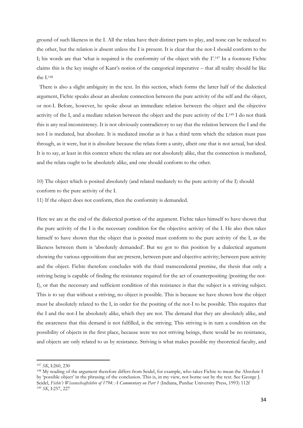ground of such likeness in the I. All the relata have their distinct parts to play, and none can be reduced to the other, but the relation is absent unless the I is present. It is clear that the not-I should conform to the I; his words are that 'what is required is the conformity of the object with the I'.<sup>147</sup> In a footnote Fichte claims this is the key insight of Kant's notion of the categorical imperative – that all reality should be like the I. 148

 There is also a slight ambiguity in the text. In this section, which forms the latter half of the dialectical argument, Fichte speaks about an absolute connection between the pure activity of the self and the object, or not-I. Before, however, he spoke about an immediate relation between the object and the objective activity of the I, and a mediate relation between the object and the pure activity of the I.<sup>149</sup> I do not think this is any real inconsistency. It is not obviously contradictory to say that the relation between the I and the not-I is mediated, but absolute. It is mediated insofar as it has a third term which the relation must pass through, as it were, but it is absolute because the relata form a unity, albeit one that is not actual, but ideal. It is to say, at least in this context where the relata are not absolutely alike, that the connection is mediated, and the relata ought to be absolutely alike, and one should conform to the other.

10) The object which is posited absolutely (and related mediately to the pure activity of the I) should conform to the pure activity of the I.

11) If the object does not conform, then the conformity is demanded.

Here we are at the end of the dialectical portion of the argument. Fichte takes himself to have shown that the pure activity of the I is the necessary condition for the objective activity of the I. He also then takes himself to have shown that the object that is posited must conform to the pure activity of the I, as the likeness between them is 'absolutely demanded'. But we got to this position by a dialectical argument showing the various oppositions that are present, between pure and objective activity; between pure activity and the object. Fichte therefore concludes with the third transcendental premise, the thesis that only a striving being is capable of finding the resistance required for the act of counterpositing (positing the not-I), or that the necessary and sufficient condition of this resistance is that the subject is a striving subject. This is to say that without a striving, no object is possible. This is because we have shown how the object must be absolutely related to the I, in order for the positing of the not-I to be possible. This requires that the I and the not-I be absolutely alike, which they are not. The demand that they are absolutely alike, and the awareness that this demand is not fulfilled, is the striving. This striving is in turn a condition on the possibility of objects in the first place, because were we not striving beings, there would be no resistance, and objects are only related to us by resistance. Striving is what makes possible my theoretical faculty, and

<sup>147</sup> *SK*, I:260, 230

<sup>&</sup>lt;sup>148</sup> My reading of the argument therefore differs from Seidel, for example, who takes Fichte to mean the Absolute I by 'possible object' in the phrasing of the conclusion. This is, in my view, not borne out by the text. See George J. Seidel, *Fichte's Wissenschsaftslehre of 1794: A Commentary on Part 1* (Indiana, Purdue University Press, 1993) 112f <sup>149</sup> *SK*, I:257, 227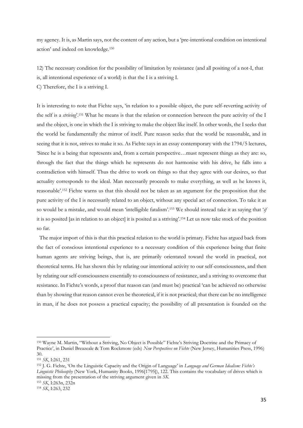my agency. It is, as Martin says, not the content of any action, but a 'pre-intentional condition on intentional action' and indeed on knowledge.<sup>150</sup>

12) The necessary condition for the possibility of limitation by resistance (and all positing of a not-I, that is, all intentional experience of a world) is that the I is a striving I.

C) Therefore, the I is a striving I.

It is interesting to note that Fichte says, 'in relation to a possible object, the pure self-reverting activity of the self is a *striving*'.<sup>151</sup> What he means is that the relation or connection between the pure activity of the I and the object, is one in which the I is striving to make the object like itself. In other words, the I seeks that the world be fundamentally the mirror of itself. Pure reason seeks that the world be reasonable, and in seeing that it is not, strives to make it so. As Fichte says in an essay contemporary with the 1794/5 lectures, 'Since he is a being that represents and, from a certain perspective…must represent things as they are: so, through the fact that the things which he represents do not harmonise with his drive, he falls into a contradiction with himself. Thus the drive to work on things so that they agree with our desires, so that actuality corresponds to the ideal. Man necessarily proceeds to make everything, as well as he knows it, reasonable'. <sup>152</sup> Fichte warns us that this should not be taken as an argument for the proposition that the pure activity of the I is necessarily related to an object, without any special act of connection. To take it as so would be a mistake, and would mean 'intelligible fatalism'.<sup>153</sup> We should instead take it as saying that '*if*  it is so posited [as in relation to an object] it is posited as a striving'. <sup>154</sup> Let us now take stock of the position so far.

The major import of this is that this practical relation to the world is primary. Fichte has argued back from the fact of conscious intentional experience to a necessary condition of this experience being that finite human agents are striving beings, that is, are primarily orientated toward the world in practical, not theoretical terms. He has shown this by relating our intentional activity to our self-consciousness, and then by relating our self-consciousness essentially to consciousness of resistance, and a striving to overcome that resistance. In Fichte's words, a proof that reason can (and must be) practical 'can be achieved no otherwise than by showing that reason cannot even be theoretical, if it is not practical; that there can be no intelligence in man, if he does not possess a practical capacity; the possibility of all presentation is founded on the

<sup>150</sup> Wayne M. Martin, "Without a Striving, No Object is Possible" Fichte's Striving Doctrine and the Primacy of Practice', in Daniel Breazeale & Tom Rockmore (eds) *New Perspectives on Fichte* (New Jersey, Humanities Press, 1996) 30.

<sup>151</sup> *SK*, I:261, 231

<sup>152</sup> J. G. Fichte, 'On the Linguistic Capacity and the Origin of Language' in *Language and German Idealism: Fichte's Linguistic Philosophy* (New York, Humanity Books, 1996[1795]), 122. This contains the vocabulary of drives which is missing from the presentation of the striving argument given in *SK*.

<sup>153</sup> *SK*, I:263n, 232n

<sup>154</sup> *SK*, I:263, 232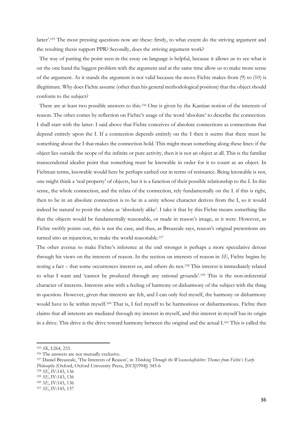latter'. <sup>155</sup> The most pressing questions now are these: firstly, to what extent do the striving argument and the resulting thesis support PPR? Secondly, does the striving argument work?

 The way of putting the point seen in the essay on language is helpful, because it allows us to see what is on the one hand the biggest problem with the argument and at the same time allow us to make more sense of the argument. As it stands the argument is not valid because the move Fichte makes from (9) to (10) is illegitimate. Why does Fichte assume (other than his general methodological position) that the object should conform to the subject?

 There are at least two possible answers to this.<sup>156</sup> One is given by the Kantian notion of the interests of reason. The other comes by reflection on Fichte's usage of the word 'absolute' to describe the connection. I shall start with the latter. I said above that Fichte conceives of absolute connections as connections that depend entirely upon the I. If a connection depends entirely on the I then it seems that there must be something about the I that makes the connection hold. This might mean something along these lines: if the object lies outside the scope of the infinite or pure activity, then it is not an object at all. This is the familiar transcendental idealist point that something must be knowable in order for it to count as an object. In Fichtean terms, knowable would here be perhaps cashed out in terms of resistance. Being knowable is not, one might think a 'real property' of objects, but it is a function of their possible relationship to the I. In this sense, the whole connection, and the relata of the connection, rely fundamentally on the I. if this is right, then to be in an absolute connection is to be in a unity whose character derives from the I, so it would indeed be natural to posit the relata as 'absolutely alike'. I take it that by this Fichte means something like that the objects would be fundamentally reasonable, or made in reason's image, as it were. However, as Fichte swiftly points out, this is not the case, and thus, as Breazeale says, reason's original pretentions are turned into an injunction, to make the world reasonable.<sup>157</sup>

The other avenue to make Fichte's inference at the end stronger is perhaps a more speculative detour through his views on the interests of reason. In the section on interests of reason in *SE*, Fichte begins by noting a fact – that some occurrences interest us, and others do not.<sup>158</sup> This interest is immediately related to what I want and 'cannot be produced through any rational grounds'.<sup>159</sup> This is the non-inferential character of interests. Interests arise with a feeling of harmony or disharmony of the subject with the thing in question. However, given that interests are felt, and I can only feel myself, the harmony or disharmony would have to lie within myself.<sup>160</sup> That is, I feel myself to be harmonious or disharmonious. Fichte then claims that all interests are mediated through my interest in myself, and this interest in myself has its origin in a drive. This drive is the drive toward harmony between the original and the actual I.<sup>161</sup> This is called the

<sup>155</sup> *SK*, I:264, 233.

<sup>156</sup> The answers are not mutually exclusive.

<sup>157</sup> Daniel Breazeale, 'The Interests of Reason', in *Thinking Through the Wissenschaftslehre: Themes from Fichte's Early Philosophy* (Oxford, Oxford University Press, 2013[1994]) 345-6

<sup>158</sup> *SE*, IV:143, 136

<sup>159</sup> *SE*, IV:143, 136

<sup>160</sup> *SE*, IV:143, 136

<sup>161</sup> *SE*, IV:143, 137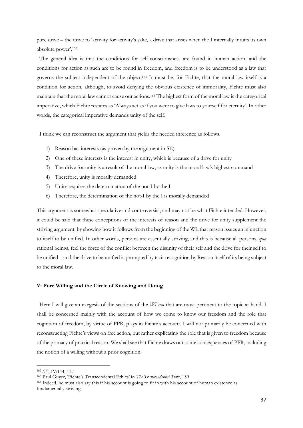pure drive – the drive to 'activity for activity's sake, a drive that arises when the I internally intuits its own absolute power'. 162

 The general idea is that the conditions for self-consciousness are found in human action, and the conditions for action as such are to be found in freedom, and freedom is to be understood as a law that governs the subject independent of the object.<sup>163</sup> It must be, for Fichte, that the moral law itself is a condition for action, although, to avoid denying the obvious existence of immorality, Fichte must also maintain that the moral law cannot cause our actions.<sup>164</sup> The highest form of the moral law is the categorical imperative, which Fichte restates as 'Always act as if you were to give laws to yourself for eternity'. In other words, the categorical imperative demands unity of the self.

I think we can reconstruct the argument that yields the needed inference as follows.

- 1) Reason has interests (as proven by the argument in SE)
- 2) One of these interests is the interest in unity, which is because of a drive for unity
- 3) The drive for unity is a result of the moral law, as unity is the moral law's highest command
- 4) Therefore, unity is morally demanded
- 5) Unity requires the determination of the not-I by the I
- 6) Therefore, the determination of the not-I by the I is morally demanded

This argument is somewhat speculative and controversial, and may not be what Fichte intended. However, it could be said that these conceptions of the interests of reason and the drive for unity supplement the striving argument, by showing how it follows from the beginning of the WL that reason issues an injunction to itself to be unified. In other words, persons are essentially striving, and this is because all persons, *qua*  rational beings, feel the force of the conflict between the disunity of their self and the drive for their self to be unified – and the drive to be unified is prompted by tacit recognition by Reason itself of its being subject to the moral law.

#### **V: Pure Willing and the Circle of Knowing and Doing**

 Here I will give an exegesis of the sections of the *WLnm* that are most pertinent to the topic at hand. I shall be concerned mainly with the account of how we come to know our freedom and the role that cognition of freedom, by virtue of PPR, plays in Fichte's account. I will not primarily be concerned with reconstructing Fichte's views on free action, but rather explicating the role that is given to freedom because of the primacy of practical reason. We shall see that Fichte draws out some consequences of PPR, including the notion of a willing without a prior cognition.

<sup>162</sup> *SE*, IV:144, 137

<sup>163</sup> Paul Guyer, 'Fichte's Transcendental Ethics' in *The Transcendental Turn*, 139

<sup>164</sup> Indeed, he must also say this if his account is going to fit in with his account of human existence as fundamentally striving.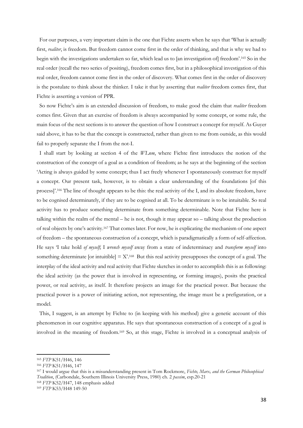For our purposes, a very important claim is the one that Fichte asserts when he says that 'What is actually first, *realiter*, is freedom. But freedom cannot come first in the order of thinking, and that is why we had to begin with the investigations undertaken so far, which lead us to [an investigation of] freedom'. <sup>165</sup> So in the real order (recall the two series of positing), freedom comes first, but in a philosophical investigation of this real order, freedom cannot come first in the order of discovery. What comes first in the order of discovery is the postulate to think about the thinker. I take it that by asserting that *realiter* freedom comes first, that Fichte is asserting a version of PPR.

 So now Fichte's aim is an extended discussion of freedom, to make good the claim that *realiter* freedom comes first. Given that an exercise of freedom is always accompanied by some concept, or some rule, the main focus of the next sections is to answer the question of how I construct a concept for myself. As Guyer said above, it has to be that the concept is constructed, rather than given to me from outside, as this would fail to properly separate the I from the not-I.

 I shall start by looking at section 4 of the *WLnm*, where Fichte first introduces the notion of the construction of the concept of a goal as a condition of freedom; as he says at the beginning of the section 'Acting is always guided by some concept; thus I act freely whenever I spontaneously construct for myself a concept. Our present task, however, is to obtain a clear understanding of the foundations [of this process]'.<sup>166</sup> The line of thought appears to be this: the real activity of the I, and its absolute freedom, have to be cognised determinately, if they are to be cognised at all. To be determinate is to be intuitable. So real activity has to produce something determinate from something determinable. Note that Fichte here is talking within the realm of the mental – he is not, though it may appear so – talking about the production of real objects by one's activity. <sup>167</sup> That comes later. For now, he is explicating the mechanism of one aspect of freedom – the spontaneous construction of a concept, which is paradigmatically a form of self-affection. He says 'I take hold *of myself*; I *wrench myself* away from a state of indeterminacy and *transform myself* into something determinate [or intuitible]  $= X^{168}$  But this real activity presupposes the concept of a goal. The interplay of the ideal activity and real activity that Fichte sketches in order to accomplish this is as following: the ideal activity (as the power that is involved in representing, or forming images), posits the practical power, or real activity, as itself. It therefore projects an image for the practical power. But because the practical power is a power of initiating action, not representing, the image must be a prefiguration, or a model.

 This, I suggest, is an attempt by Fichte to (in keeping with his method) give a genetic account of this phenomenon in our cognitive apparatus. He says that spontaneous construction of a concept of a goal is involved in the meaning of freedom.<sup>169</sup> So, at this stage, Fichte is involved in a conceptual analysis of

<sup>165</sup> *FTP* K51/H46, 146

<sup>166</sup> *FTP* K51/H46, 147

<sup>167</sup> I would argue that this is a misunderstanding present in Tom Rockmore, *Fichte, Marx, and the German Philosophical Tradition*, (Carbondale, Southern Illinois University Press, 1980) ch. 2 *passim*, esp.20-21

<sup>168</sup> *FTP* K52/H47, 148 emphasis added

<sup>169</sup> *FTP* K53/H48 149-50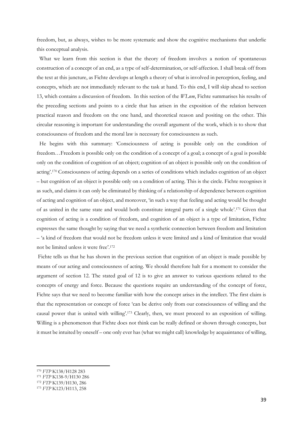freedom, but, as always, wishes to be more systematic and show the cognitive mechanisms that underlie this conceptual analysis.

 What we learn from this section is that the theory of freedom involves a notion of spontaneous construction of a concept of an end, as a type of self-determination, or self-affection. I shall break off from the text at this juncture, as Fichte develops at length a theory of what is involved in perception, feeling, and concepts, which are not immediately relevant to the task at hand. To this end, I will skip ahead to section 13, which contains a discussion of freedom. In this section of the *WLnm*, Fichte summarises his results of the preceding sections and points to a circle that has arisen in the exposition of the relation between practical reason and freedom on the one hand, and theoretical reason and positing on the other. This circular reasoning is important for understanding the overall argument of the work, which is to show that consciousness of freedom and the moral law is necessary for consciousness as such.

 He begins with this summary: 'Consciousness of acting is possible only on the condition of freedom…Freedom is possible only on the condition of a concept of a goal; a concept of a goal is possible only on the condition of cognition of an object; cognition of an object is possible only on the condition of acting'. <sup>170</sup> Consciousness of acting depends on a series of conditions which includes cognition of an object – but cognition of an object is possible only on a condition of acting. This is the circle. Fichte recognises it as such, and claims it can only be eliminated by thinking of a relationship of dependence between cognition of acting and cognition of an object, and moreover, 'in such a way that feeling and acting would be thought of as united in the same state and would both constitute integral parts of a single whole'. <sup>171</sup> Given that cognition of acting is a condition of freedom, and cognition of an object is a type of limitation, Fichte expresses the same thought by saying that we need a synthetic connection between freedom and limitation – 'a kind of freedom that would not be freedom unless it were limited and a kind of limitation that would not be limited unless it were free'. 172

Fichte tells us that he has shown in the previous section that cognition of an object is made possible by means of our acting and consciousness of acting. We should therefore halt for a moment to consider the argument of section 12. The stated goal of 12 is to give an answer to various questions related to the concepts of energy and force. Because the questions require an understanding of the concept of force, Fichte says that we need to become familiar with how the concept arises in the intellect. The first claim is that the representation or concept of force 'can be derive only from our consciousness of willing and the causal power that is united with willing'. <sup>173</sup> Clearly, then, we must proceed to an exposition of willing. Willing is a phenomenon that Fichte does not think can be really defined or shown through concepts, but it must be intuited by oneself – one only ever has (what we might call) knowledge by acquaintance of willing,

**.** 

<sup>171</sup> *FTP* K138-9/H130 286

<sup>170</sup> *FTP* K138/H128 283

<sup>172</sup> *FTP* K139/H130, 286

<sup>173</sup> *FTP* K123/H113, 258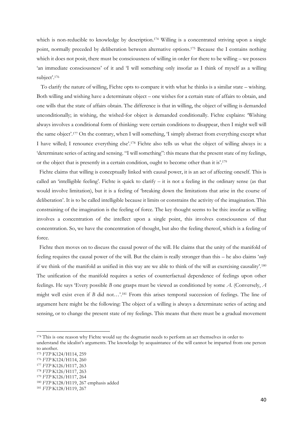which is non-reducible to knowledge by description.<sup>174</sup> Willing is a concentrated striving upon a single point, normally preceded by deliberation between alternative options. <sup>175</sup> Because the I contains nothing which it does not posit, there must be consciousness of willing in order for there to be willing – we possess 'an immediate consciousness' of it and 'I will something only insofar as I think of myself as a willing subject'. 176

 To clarify the nature of willing, Fichte opts to compare it with what he thinks is a similar state – wishing. Both willing and wishing have a determinate object – one wishes for a certain state of affairs to obtain, and one wills that the state of affairs obtain. The difference is that in willing, the object of willing is demanded unconditionally; in wishing, the wished-for object is demanded conditionally. Fichte explains: 'Wishing always involves a conditional form of thinking: were certain conditions to disappear, then I might well will the same object'. <sup>177</sup> On the contrary, when I will something, 'I simply abstract from everything except what I have willed; I renounce everything else'.<sup>178</sup> Fichte also tells us what the object of willing always is: a 'determinate series of acting and sensing. "I will something": this means that the present state of my feelings, or the object that is presently in a certain condition, ought to become other than it is'. 179

 Fichte claims that willing is conceptually linked with causal power, it is an act of affecting oneself. This is called an 'intelligible feeling'. Fichte is quick to clarify  $-$  it is not a feeling in the ordinary sense (as that would involve limitation), but it is a feeling of 'breaking down the limitations that arise in the course of deliberation'. It is to be called intelligible because it limits or constrains the activity of the imagination. This constraining of the imagination is the feeling of force. The key thought seems to be this: insofar as willing involves a concentration of the intellect upon a single point, this involves consciousness of that concentration. So, we have the concentration of thought, but also the feeling thereof, which is a feeling of force.

 Fichte then moves on to discuss the causal power of the will. He claims that the unity of the manifold of feeling requires the causal power of the will. But the claim is really stronger than this – he also claims '*only* if we think of the manifold as unified in this way are we able to think of the will as exercising causality'.<sup>180</sup> The unification of the manifold requires a series of counterfactual dependence of feelings upon other feelings. He says 'Every possible *B* one grasps must be viewed as conditioned by some *A*. (Conversely, *A* might well exist even if *B* did not...'.<sup>181</sup> From this arises temporal succession of feelings. The line of argument here might be the following: The object of a willing is always a determinate series of acting and sensing, or to change the present state of my feelings. This means that there must be a gradual movement

<sup>&</sup>lt;sup>174</sup> This is one reason why Fichte would say the dogmatist needs to perform an act themselves in order to understand the idealist's arguments. The knowledge by acquaintance of the will cannot be imparted from one person to another.

<sup>175</sup> *FTP* K124/H114, 259

<sup>176</sup> *FTP* K124/H114, 260

<sup>177</sup> *FTP* K126/H117, 263

<sup>178</sup> *FTP* K126/H117, 263

<sup>179</sup> *FTP* K126/H117, 264

<sup>180</sup> *FTP* K128/H119, 267 emphasis added

<sup>181</sup> *FTP* K128/H119, 267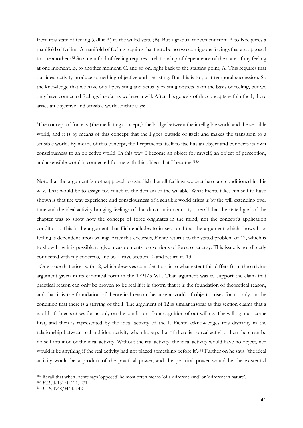from this state of feeling (call it A) to the willed state (B). But a gradual movement from A to B requires a manifold of feeling. A manifold of feeling requires that there be no two contiguous feelings that are opposed to one another.<sup>182</sup> So a manifold of feeling requires a relationship of dependence of the state of my feeling at one moment, B, to another moment, C, and so on, right back to the starting point, A. This requires that our ideal activity produce something objective and persisting. But this is to posit temporal succession. So the knowledge that we have of all persisting and actually existing objects is on the basis of feeling, but we only have connected feelings insofar as we have a will. After this genesis of the concepts within the I, there arises an objective and sensible world. Fichte says:

'The concept of force is {the mediating concept,} the bridge between the intelligible world and the sensible world, and it is by means of this concept that the I goes outside of itself and makes the transition to a sensible world. By means of this concept, the I represents itself to itself as an object and connects its own consciousness to an objective world. In this way, I become an object for myself, an object of perception, and a sensible world is connected for me with this object that I become.'<sup>183</sup>

Note that the argument is not supposed to establish that all feelings we ever have are conditioned in this way. That would be to assign too much to the domain of the willable. What Fichte takes himself to have shown is that the way experience and consciousness of a sensible world arises is by the will extending over time and the ideal activity bringing feelings of that duration into a unity – recall that the stated goal of the chapter was to show how the concept of force originates in the mind, not the concept's application conditions. This is the argument that Fichte alludes to in section 13 as the argument which shows how feeling is dependent upon willing. After this excursus, Fichte returns to the stated problem of 12, which is to show how it is possible to give measurements to exertions of force or energy. This issue is not directly connected with my concerns, and so I leave section 12 and return to 13.

 One issue that arises with 12, which deserves consideration, is to what extent this differs from the striving argument given in its canonical form in the 1794/5 WL. That argument was to support the claim that practical reason can only be proven to be real if it is shown that it is the foundation of theoretical reason, and that it is the foundation of theoretical reason, because a world of objects arises for us only on the condition that there is a striving of the I. The argument of 12 is similar insofar as this section claims that a world of objects arises for us only on the condition of our cognition of our willing. The willing must come first, and then is represented by the ideal activity of the I. Fichte acknowledges this disparity in the relationship between real and ideal activity when he says that 'if there is no real activity, then there can be no self-intuition of the ideal activity. Without the real activity, the ideal activity would have no object, nor would it be anything if the real activity had not placed something before it'. <sup>184</sup> Further on he says: 'the ideal activity would be a product of the practical power, and the practical power would be the existential

<sup>182</sup> Recall that when Fichte says 'opposed' he most often means 'of a different kind' or 'different in nature'.

<sup>183</sup> *FTP*, K131/H121, 271

<sup>184</sup> *FTP*, K48/H44, 142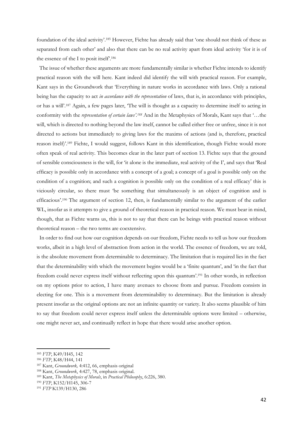foundation of the ideal activity'. <sup>185</sup> However, Fichte has already said that 'one should not think of these as separated from each other' and also that there can be no real activity apart from ideal activity 'for it is of the essence of the I to posit itself.<sup>186</sup>

 The issue of whether these arguments are more fundamentally similar is whether Fichte intends to identify practical reason with the will here. Kant indeed did identify the will with practical reason. For example, Kant says in the Groundwork that 'Everything in nature works in accordance with laws. Only a rational being has the capacity to act *in accordance with the representation* of laws, that is, in accordance with principles, or has a will'.<sup>187</sup> Again, a few pages later, 'The will is thought as a capacity to determine itself to acting in conformity with the *representation of certain laws'*.<sup>188</sup> And in the Metaphysics of Morals, Kant says that '...the will, which is directed to nothing beyond the law itself, cannot be called either free or unfree, since it is not directed to actions but immediately to giving laws for the maxims of actions (and is, therefore, practical reason itself)'. <sup>189</sup> Fichte, I would suggest, follows Kant in this identification, though Fichte would more often speak of real activity. This becomes clear in the later part of section 13. Fichte says that the ground of sensible consciousness is the will, for 'it alone is the immediate, real activity of the I', and says that 'Real efficacy is possible only in accordance with a concept of a goal; a concept of a goal is possible only on the condition of a cognition; and such a cognition is possible only on the condition of a real efficacy' this is viciously circular, so there must 'be something that simultaneously is an object of cognition and is efficacious'. <sup>190</sup> The argument of section 12, then, is fundamentally similar to the argument of the earlier WL, insofar as it attempts to give a ground of theoretical reason in practical reason. We must bear in mind, though, that as Fichte warns us, this is not to say that there can be beings with practical reason without theoretical reason – the two terms are coextensive.

 In order to find out how our cognition depends on our freedom, Fichte needs to tell us how our freedom works, albeit in a high level of abstraction from action in the world. The essence of freedom, we are told, is the absolute movement from determinable to determinacy. The limitation that is required lies in the fact that the determinability with which the movement begins would be a 'finite quantum', and 'in the fact that freedom could never express itself without reflecting upon this quantum'. <sup>191</sup> In other words, in reflection on my options prior to action, I have many avenues to choose from and pursue. Freedom consists in electing for one. This is a movement from determinability to determinacy. But the limitation is already present insofar as the original options are not an infinite quantity or variety. It also seems plausible of him to say that freedom could never express itself unless the determinable options were limited – otherwise, one might never act, and continually reflect in hope that there would arise another option.

<sup>185</sup> *FTP*, K49/H45, 142

<sup>186</sup> *FTP*, K48/H44, 141

<sup>187</sup> Kant, *Groundwork,* 4:412, 66, emphasis original

<sup>188</sup> Kant, *Groundwork*, 4:427, 78, emphasis original.

<sup>189</sup> Kant, *The Metaphysics of Morals*, in *Practical Philosophy*, 6:226, 380.

<sup>190</sup> *FTP*, K152/H145, 306-7

<sup>191</sup> *FTP* K139/H130, 286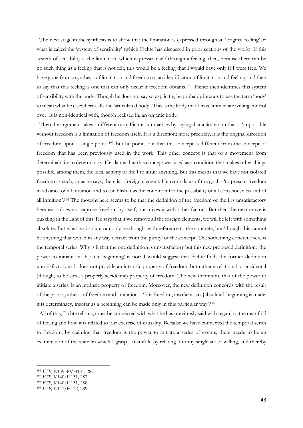The next stage in the synthesis is to show that the limitation is expressed through an 'original feeling' or what is called the 'system of sensibility' (which Fichte has discussed in prior sections of the work). If this system of sensibility is the limitation, which expresses itself through a feeling, then, because there can be no such thing as a feeling that is not felt, this would be a feeling that I would have only if I were free. We have gone from a synthesis of limitation and freedom to an identification of limitation and feeling, and then to say that this feeling is one that can only occur if freedom obtains.<sup>192</sup> Fichte then identifies this system of sensibility with the body. Though he does not say so explicitly, he probably intends to use the term 'body' to mean what he elsewhere calls the 'articulated body'. This is the body that I have immediate willing control over. It is non-identical with, though realised in, an organic body.

 Then the argument takes a different turn. Fichte summarises by saying that a limitation that is 'impossible without freedom is a limitation of freedom itself. It is a direction; more precisely, it is the original direction of freedom upon a single point'. <sup>193</sup> But he points out that this concept is different from the concept of freedom that has been previously used in the work. This other concept is that of a movement from determinability to determinacy. He claims that this concept was used as a condition that makes other things possible, among them, the ideal activity of the I to intuit anything. But this means that we have not isolated freedom as such, or as he says, there is a foreign element. He reminds us of the goal – 'to present freedom in advance of all intuition and to establish it as the condition for the possibility of all consciousness and of all intuition'. <sup>194</sup> The thought here seems to be that the definition of the freedom of the I is unsatisfactory because it does not capture freedom by itself, but mixes it with other factors. But then the next move is puzzling in the light of this. He says that if we remove all the foreign elements, we will be left with something absolute. But what is absolute can only be thought with reference to the concrete, but 'though this cannot be anything that would in any way detract from the purity' of the concept. The something concrete here is the temporal series. Why is it that the one definition is unsatisfactory but this new proposed definition: 'the power to initiate an absolute beginning' is not? I would suggest that Fichte finds the former definition unsatisfactory as it does not provide an intrinsic property of freedom, but rather a relational or accidental (though, to be sure, a properly accidental) property of freedom. The new definition, that of the power to initiate a series, is an intrinsic property of freedom. Moreover, the new definition concords with the result of the prior synthesis of freedom and limitation – 'It is freedom, insofar as an {absolute} beginning is made; it is determinacy, insofar as a beginning can be made only in this particular way'. 195

 All of this, Fichte tells us, must be connected with what he has previously said with regard to the manifold of feeling and how it is related to our exercise of causality. Because we have connected the temporal series to freedom, by claiming that freedom is the power to initiate a series of events, there needs to be an examination of the state 'in which I grasp a manifold by relating it to my single act of willing, and thereby

<sup>192</sup> *FTP*, K139-40/H131, 287

<sup>193</sup> *FTP*, K140/H131, 287

<sup>194</sup> *FTP,* K140/H131, 288

<sup>195</sup> *FTP,* K141/H132, 289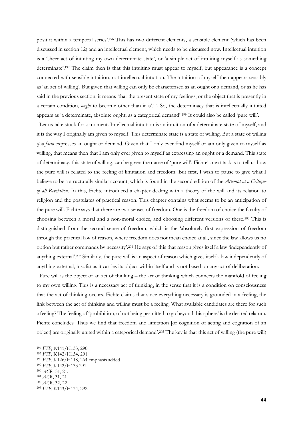posit it within a temporal series'. <sup>196</sup> This has two different elements, a sensible element (which has been discussed in section 12) and an intellectual element, which needs to be discussed now. Intellectual intuition is a 'sheer act of intuiting my own determinate state', or 'a simple act of intuiting myself as something determinate'. <sup>197</sup> The claim then is that this intuiting must appear to myself, but appearance is a concept connected with sensible intuition, not intellectual intuition. The intuition of myself then appears sensibly as 'an act of willing'. But given that willing can only be characterised as an ought or a demand, or as he has said in the previous section, it means 'that the present state of my feelings, or the object that is presently in a certain condition, *ought* to become other than it is'.<sup>198</sup> So, the determinacy that is intellectually intuited appears as 'a determinate, absolute ought, as a categorical demand'. <sup>199</sup> It could also be called 'pure will'.

 Let us take stock for a moment. Intellectual intuition is an intuition of a determinate state of myself, and it is the way I originally am given to myself. This determinate state is a state of willing. But a state of willing *ipso facto* expresses an ought or demand. Given that I only ever find myself or am only given to myself as willing, that means then that I am only ever given to myself as expressing an ought or a demand. This state of determinacy, this state of willing, can be given the name of 'pure will'. Fichte's next task is to tell us how the pure will is related to the feeling of limitation and freedom. But first, I wish to pause to give what I believe to be a structurally similar account, which is found in the second edition of the *Attempt at a Critique of all Revelation*. In this, Fichte introduced a chapter dealing with a theory of the will and its relation to religion and the postulates of practical reason. This chapter contains what seems to be an anticipation of the pure will. Fichte says that there are two senses of freedom. One is the freedom of choice the faculty of choosing between a moral and a non-moral choice, and choosing different versions of these.<sup>200</sup> This is distinguished from the second sense of freedom, which is the 'absolutely first expression of freedom through the practical law of reason, where freedom does not mean choice at all, since the law allows us no option but rather commands by necessity'.<sup>201</sup> He says of this that reason gives itself a law 'independently of anything external'.<sup>202</sup> Similarly, the pure will is an aspect of reason which gives itself a law independently of anything external, insofar as it carries its object within itself and is not based on any act of deliberation.

 Pure will is the object of an act of thinking – the act of thinking which connects the manifold of feeling to my own willing. This is a necessary act of thinking, in the sense that it is a condition on consciousness that the act of thinking occurs. Fichte claims that since everything necessary is grounded in a feeling, the link between the act of thinking and willing must be a feeling. What available candidates are there for such a feeling? The feeling of 'prohibition, of not being permitted to go beyond this sphere' is the desired relatum. Fichte concludes 'Thus we find that freedom and limitation [or cognition of acting and cognition of an object] are originally united within a categorical demand'. <sup>203</sup> The key is that this act of willing (the pure will)

<sup>199</sup> *FTP*, K142/H133 291

**.** 

<sup>201</sup> *ACR*, 31, 21

<sup>196</sup> *FTP*, K141/H133, 290

<sup>197</sup> *FTP*, K142/H134, 291

<sup>198</sup> *FTP*, K126/H118, 264 emphasis added

<sup>200</sup> *ACR* 31, 21.

<sup>202</sup> *ACR,* 32, 22

<sup>203</sup> *FTP*, K143/H134, 292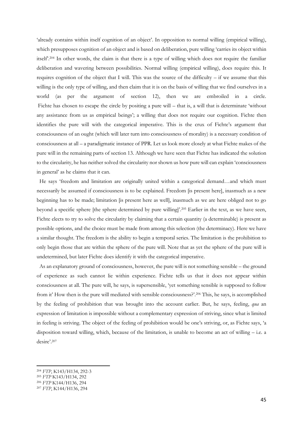'already contains within itself cognition of an object'. In opposition to normal willing (empirical willing), which presupposes cognition of an object and is based on deliberation, pure willing 'carries its object within itself'. <sup>204</sup> In other words, the claim is that there is a type of willing which does not require the familiar deliberation and wavering between possibilities. Normal willing (empirical willing), does require this. It requires cognition of the object that I will. This was the source of the difficulty – if we assume that this willing is the only type of willing, and then claim that it is on the basis of willing that we find ourselves in a world (as per the argument of section 12), then we are embroiled in a circle. Fichte has chosen to escape the circle by positing a pure will – that is, a will that is determinate 'without any assistance from us as empirical beings'; a willing that does not require our cognition. Fichte then identifies the pure will with the categorical imperative. This is the crux of Fichte's argument that consciousness of an ought (which will later turn into consciousness of morality) is a necessary condition of consciousness at all – a paradigmatic instance of PPR. Let us look more closely at what Fichte makes of the pure will in the remaining parts of section 13. Although we have seen that Fichte has indicated the solution to the circularity, he has neither solved the circularity nor shown us how pure will can explain 'consciousness in general' as he claims that it can.

 He says 'freedom and limitation are originally united within a categorical demand…and which must necessarily be assumed if consciousness is to be explained. Freedom [is present here], inasmuch as a new beginning has to be made; limitation [is present here as well], inasmuch as we are here obliged not to go beyond a specific sphere [the sphere determined by pure willing]'. <sup>205</sup> Earlier in the text, as we have seen, Fichte elects to try to solve the circularity by claiming that a certain quantity (a determinable) is present as possible options, and the choice must be made from among this selection (the determinacy). Here we have a similar thought. The freedom is the ability to begin a temporal series. The limitation is the prohibition to only begin those that are within the sphere of the pure will. Note that as yet the sphere of the pure will is undetermined, but later Fichte does identify it with the categorical imperative.

 As an explanatory ground of consciousness, however, the pure will is not something sensible – the ground of experience as such cannot lie within experience. Fichte tells us that it does not appear within consciousness at all. The pure will, he says, is supersensible, 'yet something sensible is supposed to follow from it' How then is the pure will mediated with sensible consciousness?'. <sup>206</sup> This, he says, is accomplished by the feeling of prohibition that was brought into the account earlier. But, he says, feeling, *qua* an expression of limitation is impossible without a complementary expression of striving, since what is limited in feeling is striving. The object of the feeling of prohibition would be one's striving, or, as Fichte says, 'a disposition toward willing, which, because of the limitation, is unable to become an act of willing – i.e. a desire'. 207

<sup>205</sup> *FTP* K143/H134, 292

**.** 

<sup>206</sup> *FTP* K144/H136, 294

<sup>204</sup> *FTP*, K143/H134, 292-3

<sup>207</sup> *FTP*, K144/H136, 294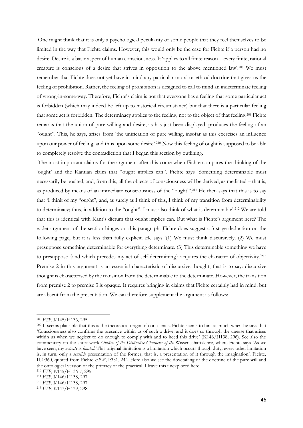One might think that it is only a psychological peculiarity of some people that they feel themselves to be limited in the way that Fichte claims. However, this would only be the case for Fichte if a person had no desire. Desire is a basic aspect of human consciousness. It 'applies to all finite reason…every finite, rational creature is conscious of a desire that strives in opposition to the above mentioned law'. <sup>208</sup> We must remember that Fichte does not yet have in mind any particular moral or ethical doctrine that gives us the feeling of prohibition. Rather, the feeling of prohibition is designed to call to mind an indeterminate feeling of wrong-in-some-way. Therefore, Fichte's claim is not that everyone has a feeling that some particular act is forbidden (which may indeed be left up to historical circumstance) but that there is a particular feeling that some act is forbidden. The determinacy applies to the feeling, not to the object of that feeling.<sup>209</sup> Fichte remarks that the union of pure willing and desire, as has just been displayed, produces the feeling of an "ought". This, he says, arises from 'the unification of pure willing, insofar as this exercises an influence upon our power of feeling, and thus upon some desire'. <sup>210</sup> Now this feeling of ought is supposed to be able to completely resolve the contradiction that I began this section by outlining.

The most important claims for the argument after this come when Fichte compares the thinking of the 'ought' and the Kantian claim that "ought implies can". Fichte says 'Something determinable must necessarily be posited, and, from this, all the objects of consciousness will be derived, as mediated – that is, as produced by means of an immediate consciousness of the "ought".<sup>211</sup> He then says that this is to say that 'I think of my "ought", and, as surely as I think of this, I think of my transition from determinability to determinacy; thus, in addition to the "ought", I must also think of what is determinable'. <sup>212</sup> We are told that this is identical with Kant's dictum that ought implies can. But what is Fichte's argument here? The wider argument of the section hinges on this paragraph. Fichte does suggest a 3 stage deduction on the following page, but it is less than fully explicit. He says '(1) We must think discursively. (2) We must presuppose something determinable for everything determinate. (3) This determinable something we have to presuppose {and which precedes my act of self-determining} acquires the character of objectivity.'<sup>213</sup> Premise 2 in this argument is an essential characteristic of discursive thought, that is to say: discursive thought is characterised by the transition from the determinable to the determinate. However, the transition from premise 2 to premise 3 is opaque. It requires bringing in claims that Fichte certainly had in mind, but are absent from the presentation. We can therefore supplement the argument as follows:

1

<sup>208</sup> *FTP*, K145/H136, 295

 $^{209}$  It seems plausible that this is the theoretical origin of conscience. Fichte seems to hint as much when he says that 'Consciousness also confirms the presence within us of such a drive, and it does so through the unease that arises within us when we neglect to do enough to comply with and to heed this drive' (K146/H138, 296). See also the commentary on the short work *Outline of the Distinctive Character of the* Wissenschaftslehre, where Fichte says 'As we have seen, my *activity* is *limited*. This original limitation is a limitation which occurs though duty; every other limitation is, in turn, only a *sensible* presentation of the former, that is, a presentation of it through the imagination'. Fichte, II,4:360, quoted from Fichte *EPW*, I:331, 244. Here also we see the dovetailing of the doctrine of the pure will and the ontological version of the primacy of the practical. I leave this unexplored here.

<sup>210</sup> *FTP*, K145/H136-7, 295

<sup>211</sup> *FTP*, K146/H138, 297

<sup>212</sup> *FTP*, K146/H138, 297

<sup>213</sup> *FTP*, K147/H139, 298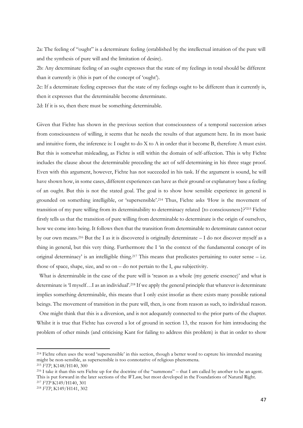2a: The feeling of "ought" is a determinate feeling (established by the intellectual intuition of the pure will and the synthesis of pure will and the limitation of desire).

2b: Any determinate feeling of an ought expresses that the state of my feelings in total should be different than it currently is (this is part of the concept of 'ought').

2c: If a determinate feeling expresses that the state of my feelings ought to be different than it currently is, then it expresses that the determinable become determinate.

2d: If it is so, then there must be something determinable.

Given that Fichte has shown in the previous section that consciousness of a temporal succession arises from consciousness of willing, it seems that he needs the results of that argument here. In its most basic and intuitive form, the inference is: I ought to do X to A in order that it become B, therefore A must exist. But this is somewhat misleading, as Fichte is still within the domain of self-affection. This is why Fichte includes the clause about the determinable preceding the act of self-determining in his three stage proof. Even with this argument, however, Fichte has not succeeded in his task. If the argument is sound, he will have shown how, in some cases, different experiences can have as their ground or explanatory base a feeling of an ought. But this is not the stated goal. The goal is to show how sensible experience in general is grounded on something intelligible, or 'supersensible'.<sup>214</sup> Thus, Fichte asks 'How is the movement of transition of my pure willing from its determinability to determinacy related {to consciousness}?'<sup>215</sup> Fichte firstly tells us that the transition of pure willing from determinable to determinate is the origin of ourselves, how we come into being. It follows then that the transition from determinable to determinate cannot occur by our own means.<sup>216</sup> But the I as it is discovered is originally determinate – I do not discover myself as a thing in general, but this very thing. Furthermore the I 'in the context of the fundamental concept of its original determinacy' is an intelligible thing. <sup>217</sup> This means that predicates pertaining to outer sense – i.e. those of space, shape, size, and so on – do not pertain to the I, *qua* subjectivity.

 What is determinable in the case of the pure will is 'reason as a whole (my generic essence)' and what is determinate is 'I myself…I as an individual'. <sup>218</sup> If we apply the general principle that whatever is determinate implies something determinable, this means that I only exist insofar as there exists many possible rational beings. The movement of transition in the pure will, then, is one from reason as such, to individual reason.

 One might think that this is a diversion, and is not adequately connected to the prior parts of the chapter. Whilst it is true that Fichte has covered a lot of ground in section 13, the reason for him introducing the problem of other minds (and criticising Kant for failing to address this problem) is that in order to show

<sup>&</sup>lt;sup>214</sup> Fichte often uses the word 'supersensible' in this section, though a better word to capture his intended meaning might be non-sensible, as supersensible is too connotative of religious phenomena.

<sup>215</sup> *FTP*, K148/H140, 300

<sup>216</sup> I take it than this sets Fichte up for the doctrine of the "summons" – that I am called by another to be an agent. This is put forward in the later sections of the *WLnm*, but most developed in the Foundations of Natural Right. <sup>217</sup> *FTP* K149/H140, 301

<sup>218</sup> *FTP*, K149/H141, 302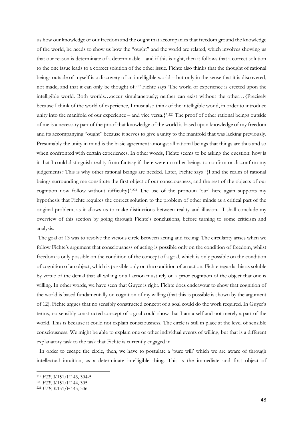us how our knowledge of our freedom and the ought that accompanies that freedom ground the knowledge of the world, he needs to show us how the "ought" and the world are related, which involves showing us that our reason is determinate of a determinable – and if this is right, then it follows that a correct solution to the one issue leads to a correct solution of the other issue. Fichte also thinks that the thought of rational beings outside of myself is a discovery of an intelligible world – but only in the sense that it is discovered, not made, and that it can only be thought of. <sup>219</sup> Fichte says 'The world of experience is erected upon the intelligible world. Both worlds…occur simultaneously; neither can exist without the other…{Precisely because I think of the world of experience, I must also think of the intelligible world, in order to introduce unity into the manifold of our experience – and vice versa.}'. <sup>220</sup> The proof of other rational beings outside of me is a necessary part of the proof that knowledge of the world is based upon knowledge of my freedom and its accompanying "ought" because it serves to give a unity to the manifold that was lacking previously. Presumably the unity in mind is the basic agreement amongst all rational beings that things are thus and so when confronted with certain experiences. In other words, Fichte seems to be asking the question: how is it that I could distinguish reality from fantasy if there were no other beings to confirm or disconfirm my judgements? This is why other rational beings are needed. Later, Fichte says '{I and the realm of rational beings surrounding me constitute the first object of our consciousness, and the rest of the objects of our cognition now follow without difficulty}'. <sup>221</sup> The use of the pronoun 'our' here again supports my hypothesis that Fichte requires the correct solution to the problem of other minds as a critical part of the original problem, as it allows us to make distinctions between reality and illusion. I shall conclude my overview of this section by going through Fichte's conclusions, before turning to some criticism and analysis.

The goal of 13 was to resolve the vicious circle between acting and feeling. The circularity arises when we follow Fichte's argument that consciousness of acting is possible only on the condition of freedom, whilst freedom is only possible on the condition of the concept of a goal, which is only possible on the condition of cognition of an object, which is possible only on the condition of an action. Fichte regards this as soluble by virtue of the denial that all willing or all action must rely on a prior cognition of the object that one is willing. In other words, we have seen that Guyer is right. Fichte does endeavour to show that cognition of the world is based fundamentally on cognition of my willing (that this is possible is shown by the argument of 12). Fichte argues that no sensibly constructed concept of a goal could do the work required. In Guyer's terms, no sensibly constructed concept of a goal could show that I am a self and not merely a part of the world. This is because it could not explain consciousness. The circle is still in place at the level of sensible consciousness. We might be able to explain one or other individual events of willing, but that is a different explanatory task to the task that Fichte is currently engaged in.

 In order to escape the circle, then, we have to postulate a 'pure will' which we are aware of through intellectual intuition, as a determinate intelligible thing. This is the immediate and first object of

**<sup>.</sup>** <sup>219</sup> *FTP*, K151/H143, 304-5

<sup>220</sup> *FTP*, K151/H144, 305

<sup>221</sup> *FTP*, K151/H145, 306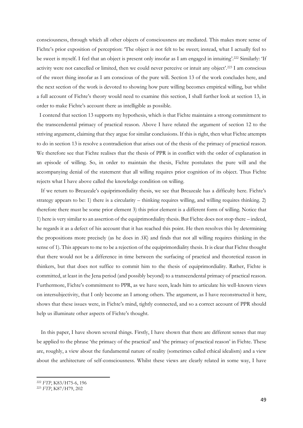consciousness, through which all other objects of consciousness are mediated. This makes more sense of Fichte's prior exposition of perception: 'The object is not felt to be sweet; instead, what I actually feel to be sweet is myself. I feel that an object is present only insofar as I am engaged in intuiting'. <sup>222</sup> Similarly: 'If activity were not cancelled or limited, then we could never perceive or intuit any object'. <sup>223</sup> I am conscious of the sweet thing insofar as I am conscious of the pure will. Section 13 of the work concludes here, and the next section of the work is devoted to showing how pure willing becomes empirical willing, but whilst a full account of Fichte's theory would need to examine this section, I shall further look at section 13, in order to make Fichte's account there as intelligible as possible.

 I contend that section 13 supports my hypothesis, which is that Fichte maintains a strong commitment to the transcendental primacy of practical reason. Above I have related the argument of section 12 to the striving argument, claiming that they argue for similar conclusions. If this is right, then what Fichte attempts to do in section 13 is resolve a contradiction that arises out of the thesis of the primacy of practical reason. We therefore see that Fichte realises that the thesis of PPR is in conflict with the order of explanation in an episode of willing. So, in order to maintain the thesis, Fichte postulates the pure will and the accompanying denial of the statement that all willing requires prior cognition of its object. Thus Fichte rejects what I have above called the knowledge condition on willing.

 If we return to Breazeale's equiprimordiality thesis, we see that Breazeale has a difficulty here. Fichte's strategy appears to be: 1) there is a circularity – thinking requires willing, and willing requires thinking. 2) therefore there must be some prior element 3) this prior element is a different form of willing. Notice that 1) here is very similar to an assertion of the equiprimordiality thesis. But Fichte does not stop there – indeed, he regards it as a defect of his account that it has reached this point. He then resolves this by determining the propositions more precisely (as he does in *SK*) and finds that not all willing requires thinking in the sense of 1). This appears to me to be a rejection of the equiprimordiality thesis. It is clear that Fichte thought that there would not be a difference in time between the surfacing of practical and theoretical reason in thinkers, but that does not suffice to commit him to the thesis of equiprimordiality. Rather, Fichte is committed, at least in the Jena period (and possibly beyond) to a transcendental primacy of practical reason. Furthermore, Fichte's commitment to PPR, as we have seen, leads him to articulate his well-known views on intersubjectivity, that I only become an I among others. The argument, as I have reconstructed it here, shows that these issues were, in Fichte's mind, tightly connected, and so a correct account of PPR should help us illuminate other aspects of Fichte's thought.

 In this paper, I have shown several things. Firstly, I have shown that there are different senses that may be applied to the phrase 'the primacy of the practical' and 'the primacy of practical reason' in Fichte. These are, roughly, a view about the fundamental nature of reality (sometimes called ethical idealism) and a view about the architecture of self-consciousness. Whilst these views are clearly related in some way, I have

<sup>222</sup> *FTP*, K83/H75-6, 196

<sup>223</sup> *FTP*, K87/H79, 202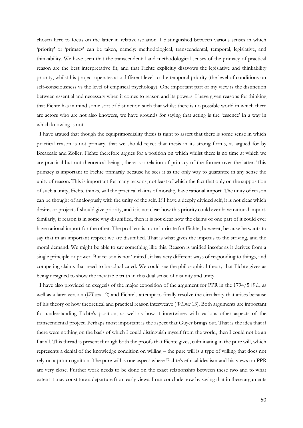chosen here to focus on the latter in relative isolation. I distinguished between various senses in which 'priority' or 'primacy' can be taken, namely: methodological, transcendental, temporal, legislative, and thinkability. We have seen that the transcendental and methodological senses of the primacy of practical reason are the best interpretative fit, and that Fichte explicitly disavows the legislative and thinkability priority, whilst his project operates at a different level to the temporal priority (the level of conditions on self-consciousness vs the level of empirical psychology). One important part of my view is the distinction between essential and necessary when it comes to reason and its powers. I have given reasons for thinking that Fichte has in mind some sort of distinction such that whilst there is no possible world in which there are actors who are not also knowers, we have grounds for saying that acting is the 'essence' in a way in which knowing is not.

I have argued that though the equiprimordiality thesis is right to assert that there is some sense in which practical reason is not primary, that we should reject that thesis in its strong forms, as argued for by Breazeale and Zöller. Fichte therefore argues for a position on which whilst there is no time at which we are practical but not theoretical beings, there is a relation of primacy of the former over the latter. This primacy is important to Fichte primarily because he sees it as the only way to guarantee in any sense the unity of reason. This is important for many reasons, not least of which the fact that only on the supposition of such a unity, Fichte thinks, will the practical claims of morality have rational import. The unity of reason can be thought of analogously with the unity of the self. If I have a deeply divided self, it is not clear which desires or projects I should give priority, and it is not clear how this priority could ever have rational import. Similarly, if reason is in some way disunified, then it is not clear how the claims of one part of it could ever have rational import for the other. The problem is more intricate for Fichte, however, because he wants to say that in an important respect we are disunified. That is what gives the impetus to the striving, and the moral demand. We might be able to say something like this. Reason is unified insofar as it derives from a single principle or power. But reason is not 'united', it has very different ways of responding to things, and competing claims that need to be adjudicated. We could see the philosophical theory that Fichte gives as being designed to show the inevitable truth in this dual sense of disunity and unity.

 I have also provided an exegesis of the major exposition of the argument for PPR in the 1794/5 *WL*, as well as a later version (*WLnm* 12) and Fichte's attempt to finally resolve the circularity that arises because of his theory of how theoretical and practical reason interweave (*WLnm* 13). Both arguments are important for understanding Fichte's position, as well as how it intertwines with various other aspects of the transcendental project. Perhaps most important is the aspect that Guyer brings out. That is the idea that if there were nothing on the basis of which I could distinguish myself from the world, then I could not be an I at all. This thread is present through both the proofs that Fichte gives, culminating in the pure will, which represents a denial of the knowledge condition on willing – the pure will is a type of willing that does not rely on a prior cognition. The pure will is one aspect where Fichte's ethical idealism and his views on PPR are very close. Further work needs to be done on the exact relationship between these two and to what extent it may constitute a departure from early views. I can conclude now by saying that in these arguments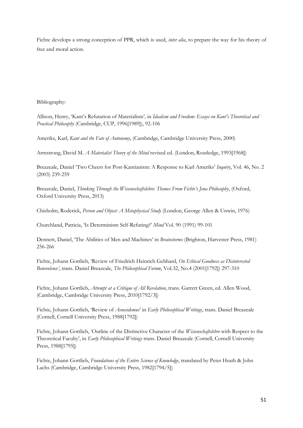Fichte develops a strong conception of PPR, which is used, *inter alia*, to prepare the way for his theory of free and moral action.

## Bibliography:

Allison, Henry, 'Kant's Refutation of Materialism'*,* in *Idealism and Freedom: Essays on Kant's Theoretical and Practical Philosophy* (Cambridge, CUP, 1996[1989]), 92-106

Ameriks, Karl, *Kant and the Fate of Autonomy*, (Cambridge, Cambridge University Press, 2000)

Armstrong, David M. *A Materialist Theory of the Mind* revised ed. (London, Routledge, 1993[1968])

Breazeale, Daniel 'Two Cheers for Post-Kantianism: A Response to Karl Ameriks' *Inquiry*, Vol. 46, No. 2 (2003) 239-259

Breazeale, Daniel, *Thinking Through the Wissenschaftslehre*: *Themes From Fichte's Jena Philosophy*, (Oxford, Oxford University Press, 2013)

Chisholm, Roderick, *Person and Object: A Metaphysical Study* (London, George Allen & Unwin, 1976)

Churchland, Patricia, 'Is Determinism Self-Refuting?' *Mind* Vol. 90 (1991) 99-101

Dennett, Daniel, 'The Abilities of Men and Machines' in *Brainstorms* (Brighton, Harvester Press, 1981) 256-266

Fichte, Johann Gottlieb, 'Review of Friedrich Heinrich Gebhard, *On Ethical Goodness as Disinterested Benevolence'*, trans. Daniel Breazeale, *The Philosophical Forum*, Vol.32, No.4 (2001[1792]) 297-310

Fichte, Johann Gottlieb, *Attempt at a Critique of All Revelation*, trans. Garrett Green, ed. Allen Wood, (Cambridge, Cambridge University Press, 2010[1792/3])

Fichte, Johann Gottlieb, 'Review of *Aenesidemus*' in *Early Philosophical Writings*, trans. Daniel Breazeale (Cornell, Cornell University Press, 1988[1792])

Fichte, Johann Gottlieb, 'Outline of the Distinctive Character of the *Wissenschaftslehre* with Respect to the Theoretical Faculty', in *Early Philosophical Writings* trans. Daniel Breazeale (Cornell, Cornell University Press, 1988[1795])

Fichte, Johann Gottlieb, *Foundations of the Entire Science of Knowledge*, translated by Peter Heath & John Lachs (Cambridge, Cambridge University Press, 1982[1794/5])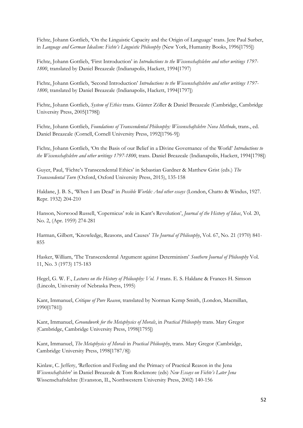Fichte, Johann Gottlieb, 'On the Linguistic Capacity and the Origin of Language' trans. Jere Paul Surber, in *Language and German Idealism: Fichte's Linguistic Philosophy* (New York, Humanity Books, 1996[1795])

Fichte, Johann Gottlieb, 'First Introduction' in *Introductions to the Wissenschaftslehre and other writings 1797- 1800*, translated by Daniel Breazeale (Indianapolis, Hackett, 1994[1797)

Fichte, Johann Gottlieb, 'Second Introduction' *Introductions to the Wissenschaftslehre and other writings 1797- 1800*, translated by Daniel Breazeale (Indianapolis, Hackett, 1994[1797])

Fichte, Johann Gottlieb, *System of Ethics* trans. Günter Zöller & Daniel Breazeale (Cambridge, Cambridge University Press, 2005[1798])

Fichte, Johann Gottlieb, *Foundations of Transcendental Philosophy: Wissenschaftslehre Nova Methodo*, trans., ed. Daniel Breazeale (Cornell, Cornell University Press, 1992[1796-9])

Fichte, Johann Gottlieb, 'On the Basis of our Belief in a Divine Governance of the World' *Introductions to the Wissenschaftslehre and other writings 1797-1800*, trans. Daniel Breazeale (Indianapolis, Hackett, 1994[1798])

Guyer, Paul, 'Fichte's Transcendental Ethics' in Sebastian Gardner & Matthew Grist (eds.) *The Transcendental Turn* (Oxford, Oxford University Press, 2015), 135-158

Haldane, J. B. S., 'When I am Dead' in *Possible Worlds: And other essays* (London, Chatto & Windus, 1927. Repr. 1932) 204-210

Hanson, Norwood Russell, 'Copernicus' role in Kant's Revolution', *Journal of the History of Ideas*, Vol. 20, No. 2, (Apr. 1959) 274-281

Harman, Gilbert, 'Knowledge, Reasons, and Causes' *The Journal of Philosophy*, Vol. 67, No. 21 (1970) 841- 855

Hasker, William, 'The Transcendental Argument against Determinism' *Southern Journal of Philosophy* Vol. 11, No. 3 (1973) 175-183

Hegel, G. W. F., *Lectures on the History of Philosophy: Vol. 3* trans. E. S. Haldane & Frances H. Simson (Lincoln, University of Nebraska Press, 1995)

Kant, Immanuel, *Critique of Pure Reason*, translated by Norman Kemp Smith, (London, Macmillan, 1990[1781])

Kant, Immanuel, *Groundwork for the Metaphysics of Morals*, in *Practical Philosophy* trans. Mary Gregor (Cambridge, Cambridge University Press, 1998[1795])

Kant, Immanuel, *The Metaphysics of Morals* in *Practical Philosophy*, trans. Mary Gregor (Cambridge, Cambridge University Press, 1998[1787/8])

Kinlaw, C. Jeffery, 'Reflection and Feeling and the Primacy of Practical Reason in the Jena *Wissenschaftslehre*' in Daniel Breazeale & Tom Rockmore (eds) *New Essays on Fichte's Later Jena*  Wissenschaftslehre (Evanston, IL, Northwestern University Press, 2002) 140-156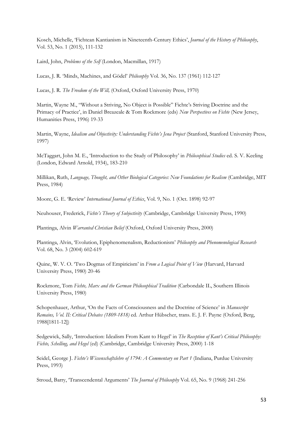Kosch, Michelle, 'Fichtean Kantianism in Nineteenth-Century Ethics', *Journal of the History of Philosophy*, Vol. 53, No. 1 (2015), 111-132

Laird, John, *Problems of the Self* (London, Macmillan, 1917)

Lucas, J. R. 'Minds, Machines, and Gödel' *Philosophy* Vol. 36, No. 137 (1961) 112-127

Lucas, J. R. *The Freedom of the Will,* (Oxford, Oxford University Press, 1970)

Martin, Wayne M., "Without a Striving, No Object is Possible" Fichte's Striving Doctrine and the Primacy of Practice', in Daniel Breazeale & Tom Rockmore (eds) *New Perspectives on Fichte* (New Jersey, Humanities Press, 1996) 19-33

Martin, Wayne, *Idealism and Objectivity: Understanding Fichte's Jena Project* (Stanford, Stanford University Press, 1997)

McTaggart, John M. E., 'Introduction to the Study of Philosophy' in *Philosophical Studies* ed. S. V. Keeling (London, Edward Arnold, 1934), 183-210

Millikan, Ruth, *Language, Thought, and Other Biological Categories: New Foundations for Realism* (Cambridge, MIT Press, 1984)

Moore, G. E. 'Review' *International Journal of Ethics*, Vol. 9, No. 1 (Oct. 1898) 92-97

Neuhouser, Frederick, *Fichte's Theory of Subjectivity* (Cambridge, Cambridge University Press, 1990)

Plantinga, Alvin *Warranted Christian Belief* (Oxford, Oxford University Press, 2000)

Plantinga, Alvin, 'Evolution, Epiphenomenalism, Reductionism' *Philosophy and Phenomenological Research* Vol. 68, No. 3 (2004) 602-619

Quine, W. V. O. 'Two Dogmas of Empiricism' in *From a Logical Point of View* (Harvard, Harvard University Press, 1980) 20-46

Rockmore, Tom *Fichte, Marx and the German Philosophical Tradition* (Carbondale IL, Southern Illinois University Press, 1980)

Schopenhauer, Arthur, 'On the Facts of Consciousness and the Doctrine of Science' in *Manuscript Remains, Vol. II: Critical Debates (1809-1818)* ed. Arthur Hübscher, trans. E. J. F. Payne (Oxford, Berg, 1988[1811-12])

Sedgewick, Sally, 'Introduction: Idealism From Kant to Hegel' in *The Reception of Kant's Critical Philosophy: Fichte, Schelling, and Hegel* (ed) (Cambridge, Cambridge University Press, 2000) 1-18

Seidel, George J. *Fichte's Wissenschaftslehre of 1794: A Commentary on Part 1* (Indiana, Purdue University Press, 1993)

Stroud, Barry, 'Transcendental Arguments' *The Journal of Philosophy* Vol. 65, No. 9 (1968) 241-256